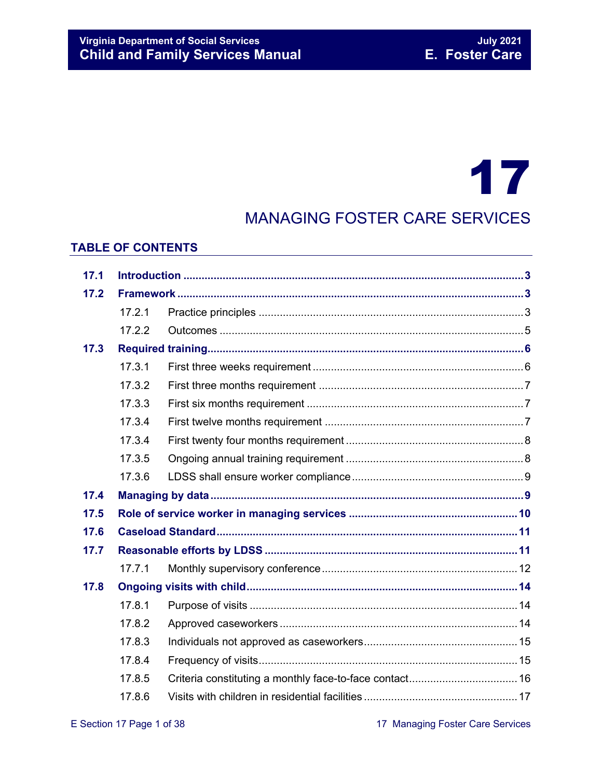# 17

# MANAGING FOSTER CARE SERVICES

# **TABLE OF CONTENTS**

| 17.1 |        |  |  |  |
|------|--------|--|--|--|
| 17.2 |        |  |  |  |
|      | 17.2.1 |  |  |  |
|      | 17.2.2 |  |  |  |
| 17.3 |        |  |  |  |
|      | 17.3.1 |  |  |  |
|      | 17.3.2 |  |  |  |
|      | 17.3.3 |  |  |  |
|      | 17.3.4 |  |  |  |
|      | 17.3.4 |  |  |  |
|      | 17.3.5 |  |  |  |
|      | 17.3.6 |  |  |  |
| 17.4 |        |  |  |  |
| 17.5 |        |  |  |  |
| 17.6 |        |  |  |  |
| 17.7 |        |  |  |  |
|      | 17.7.1 |  |  |  |
| 17.8 |        |  |  |  |
|      | 17.8.1 |  |  |  |
|      | 17.8.2 |  |  |  |
|      | 17.8.3 |  |  |  |
|      | 17.8.4 |  |  |  |
|      | 17.8.5 |  |  |  |
|      | 17.8.6 |  |  |  |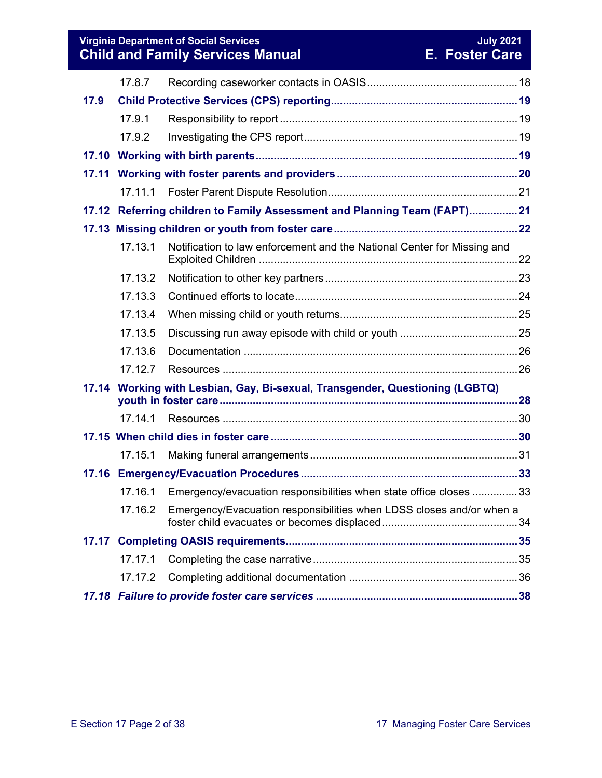**The Social Services And American Services And American Services And American Services And American Services An Child and Family Services Manual E. Foster Care**

|       | 17.8.7                                                                       |                                                                           |  |  |
|-------|------------------------------------------------------------------------------|---------------------------------------------------------------------------|--|--|
| 17.9  |                                                                              |                                                                           |  |  |
|       | 17.9.1                                                                       |                                                                           |  |  |
|       | 17.9.2                                                                       |                                                                           |  |  |
|       |                                                                              |                                                                           |  |  |
|       |                                                                              |                                                                           |  |  |
|       |                                                                              |                                                                           |  |  |
|       |                                                                              | 17.12 Referring children to Family Assessment and Planning Team (FAPT) 21 |  |  |
|       |                                                                              |                                                                           |  |  |
|       | 17.13.1                                                                      | Notification to law enforcement and the National Center for Missing and   |  |  |
|       | 17.13.2                                                                      |                                                                           |  |  |
|       | 17.13.3                                                                      |                                                                           |  |  |
|       | 17.13.4                                                                      |                                                                           |  |  |
|       | 17.13.5                                                                      |                                                                           |  |  |
|       | 17.13.6                                                                      |                                                                           |  |  |
|       | 17.12.7                                                                      |                                                                           |  |  |
|       | 17.14 Working with Lesbian, Gay, Bi-sexual, Transgender, Questioning (LGBTQ) |                                                                           |  |  |
|       | 17.14.1                                                                      |                                                                           |  |  |
|       |                                                                              |                                                                           |  |  |
|       | 17.15.1                                                                      |                                                                           |  |  |
| 17.16 |                                                                              |                                                                           |  |  |
|       | 17.16.1                                                                      | Emergency/evacuation responsibilities when state office closes 33         |  |  |
|       | 17.16.2                                                                      | Emergency/Evacuation responsibilities when LDSS closes and/or when a      |  |  |
|       |                                                                              |                                                                           |  |  |
|       | 17.17.1                                                                      |                                                                           |  |  |
|       | 17.17.2                                                                      |                                                                           |  |  |
|       |                                                                              |                                                                           |  |  |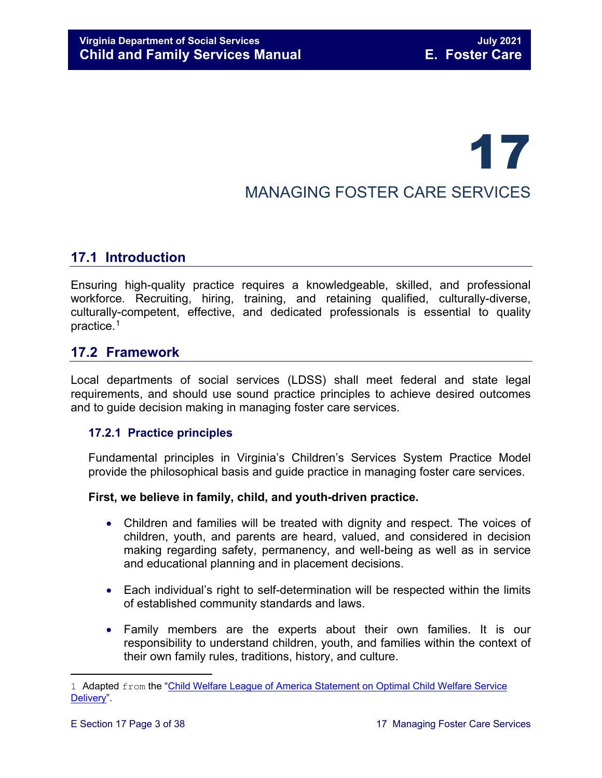# 17

# MANAGING FOSTER CARE SERVICES

# <span id="page-2-0"></span>**17.1 Introduction**

Ensuring high-quality practice requires a knowledgeable, skilled, and professional workforce. Recruiting, hiring, training, and retaining qualified, culturally-diverse, culturally-competent, effective, and dedicated professionals is essential to quality practice.[1](#page-2-3)

# <span id="page-2-1"></span>**17.2 Framework**

Local departments of social services (LDSS) shall meet federal and state legal requirements, and should use sound practice principles to achieve desired outcomes and to guide decision making in managing foster care services.

# <span id="page-2-2"></span>**17.2.1 Practice principles**

Fundamental principles in Virginia's Children's Services System Practice Model provide the philosophical basis and guide practice in managing foster care services.

### **First, we believe in family, child, and youth-driven practice.**

- Children and families will be treated with dignity and respect. The voices of children, youth, and parents are heard, valued, and considered in decision making regarding safety, permanency, and well-being as well as in service and educational planning and in placement decisions.
- Each individual's right to self-determination will be respected within the limits of established community standards and laws.
- Family members are the experts about their own families. It is our responsibility to understand children, youth, and families within the context of their own family rules, traditions, history, and culture.

<span id="page-2-3"></span>Ĩ. 1 Adapted from the "<u>Child Welfare League of America Statement on Optimal Child Welfare Service</u> [Delivery"](http://www.cwla.org/advocacy/financingoptimaldeliv.htm).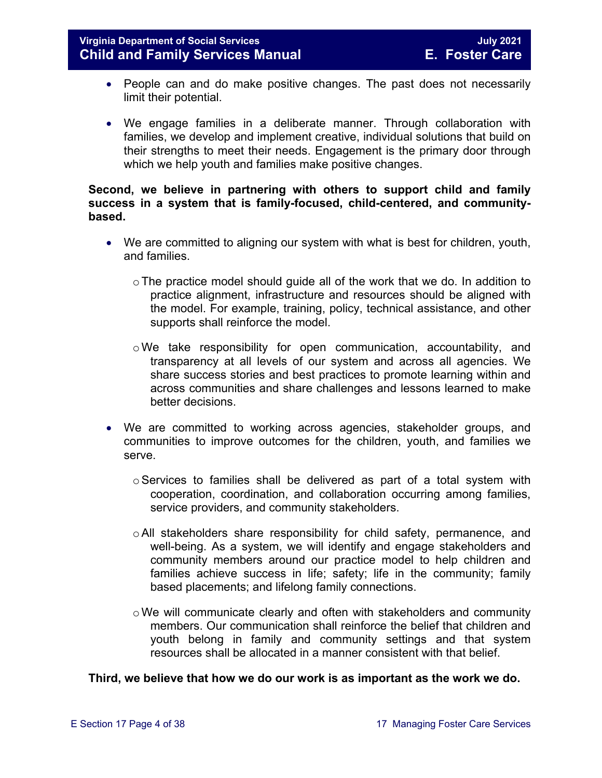- People can and do make positive changes. The past does not necessarily limit their potential.
- We engage families in a deliberate manner. Through collaboration with families, we develop and implement creative, individual solutions that build on their strengths to meet their needs. Engagement is the primary door through which we help youth and families make positive changes.

# **Second, we believe in partnering with others to support child and family success in a system that is family-focused, child-centered, and communitybased.**

- We are committed to aligning our system with what is best for children, youth, and families.
	- $\circ$  The practice model should quide all of the work that we do. In addition to practice alignment, infrastructure and resources should be aligned with the model. For example, training, policy, technical assistance, and other supports shall reinforce the model.
	- $\circ$  We take responsibility for open communication, accountability, and transparency at all levels of our system and across all agencies. We share success stories and best practices to promote learning within and across communities and share challenges and lessons learned to make better decisions.
- We are committed to working across agencies, stakeholder groups, and communities to improve outcomes for the children, youth, and families we serve.
	- oServices to families shall be delivered as part of a total system with cooperation, coordination, and collaboration occurring among families, service providers, and community stakeholders.
	- oAll stakeholders share responsibility for child safety, permanence, and well-being. As a system, we will identify and engage stakeholders and community members around our practice model to help children and families achieve success in life; safety; life in the community; family based placements; and lifelong family connections.
	- $\circ$  We will communicate clearly and often with stakeholders and community members. Our communication shall reinforce the belief that children and youth belong in family and community settings and that system resources shall be allocated in a manner consistent with that belief.

### **Third, we believe that how we do our work is as important as the work we do.**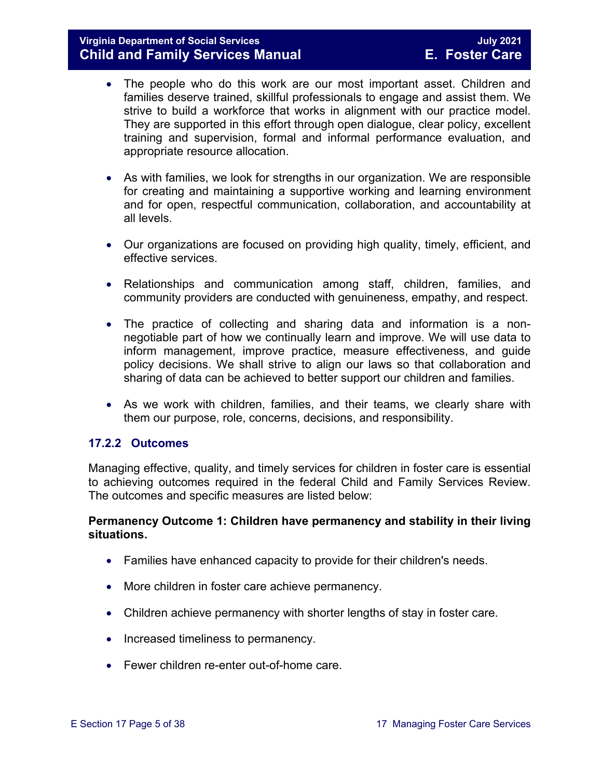- The people who do this work are our most important asset. Children and families deserve trained, skillful professionals to engage and assist them. We strive to build a workforce that works in alignment with our practice model. They are supported in this effort through open dialogue, clear policy, excellent training and supervision, formal and informal performance evaluation, and appropriate resource allocation.
- As with families, we look for strengths in our organization. We are responsible for creating and maintaining a supportive working and learning environment and for open, respectful communication, collaboration, and accountability at all levels.
- Our organizations are focused on providing high quality, timely, efficient, and effective services.
- Relationships and communication among staff, children, families, and community providers are conducted with genuineness, empathy, and respect.
- The practice of collecting and sharing data and information is a nonnegotiable part of how we continually learn and improve. We will use data to inform management, improve practice, measure effectiveness, and guide policy decisions. We shall strive to align our laws so that collaboration and sharing of data can be achieved to better support our children and families.
- As we work with children, families, and their teams, we clearly share with them our purpose, role, concerns, decisions, and responsibility.

# <span id="page-4-0"></span>**17.2.2 Outcomes**

Managing effective, quality, and timely services for children in foster care is essential to achieving outcomes required in the federal Child and Family Services Review. The outcomes and specific measures are listed below:

# **Permanency Outcome 1: Children have permanency and stability in their living situations.**

- Families have enhanced capacity to provide for their children's needs.
- More children in foster care achieve permanency.
- Children achieve permanency with shorter lengths of stay in foster care.
- Increased timeliness to permanency.
- Fewer children re-enter out-of-home care.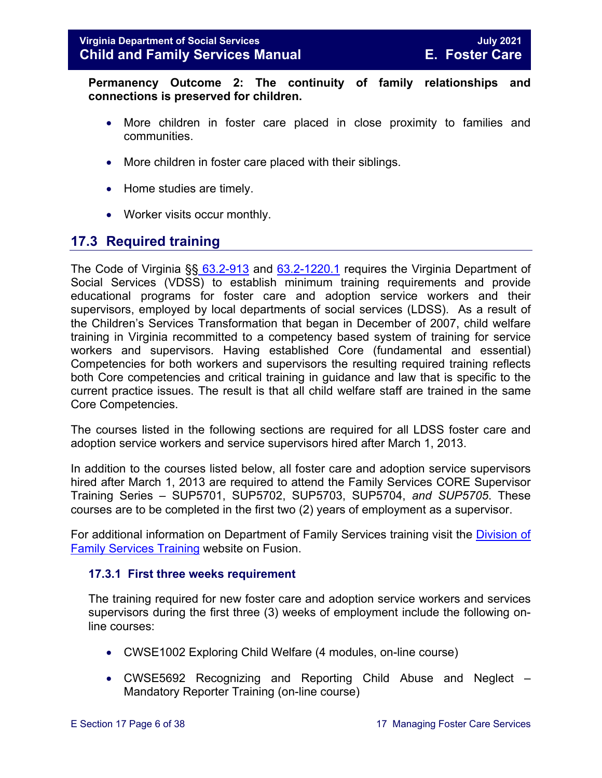**Permanency Outcome 2: The continuity of family relationships and connections is preserved for children.** 

- More children in foster care placed in close proximity to families and communities.
- More children in foster care placed with their siblings.
- Home studies are timely.
- Worker visits occur monthly.

# <span id="page-5-0"></span>**17.3 Required training**

The Code of Virginia §§ [63.2-913](https://law.lis.virginia.go/vacode/63.2-913/) and [63.2-1220.1](https://law.lis.virginia.go/vacode/63.2-1220.1/) requires the Virginia Department of Social Services (VDSS) to establish minimum training requirements and provide educational programs for foster care and adoption service workers and their supervisors, employed by local departments of social services (LDSS). As a result of the Children's Services Transformation that began in December of 2007, child welfare training in Virginia recommitted to a competency based system of training for service workers and supervisors. Having established Core (fundamental and essential) Competencies for both workers and supervisors the resulting required training reflects both Core competencies and critical training in guidance and law that is specific to the current practice issues. The result is that all child welfare staff are trained in the same Core Competencies.

The courses listed in the following sections are required for all LDSS foster care and adoption service workers and service supervisors hired after March 1, 2013.

In addition to the courses listed below, all foster care and adoption service supervisors hired after March 1, 2013 are required to attend the Family Services CORE Supervisor Training Series – SUP5701, SUP5702, SUP5703, SUP5704, *and SUP5705*. These courses are to be completed in the first two (2) years of employment as a supervisor.

For additional information on Department of Family Services training visit the [Division of](https://fusion.dss.virginia.gov/dfs/DFS-Home/Family-Services-Training)  [Family Services Training](https://fusion.dss.virginia.gov/dfs/DFS-Home/Family-Services-Training) website on Fusion.

### <span id="page-5-1"></span>**17.3.1 First three weeks requirement**

The training required for new foster care and adoption service workers and services supervisors during the first three (3) weeks of employment include the following online courses:

- CWSE1002 Exploring Child Welfare (4 modules, on-line course)
- CWSE5692 Recognizing and Reporting Child Abuse and Neglect Mandatory Reporter Training (on-line course)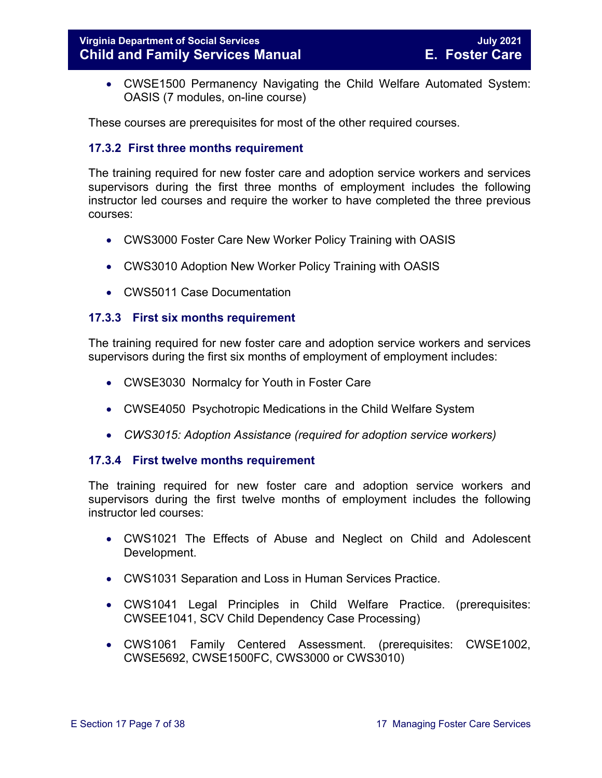• CWSE1500 Permanency Navigating the Child Welfare Automated System: OASIS (7 modules, on-line course)

These courses are prerequisites for most of the other required courses.

# <span id="page-6-0"></span>**17.3.2 First three months requirement**

The training required for new foster care and adoption service workers and services supervisors during the first three months of employment includes the following instructor led courses and require the worker to have completed the three previous courses:

- CWS3000 Foster Care New Worker Policy Training with OASIS
- CWS3010 Adoption New Worker Policy Training with OASIS
- CWS5011 Case Documentation

# <span id="page-6-1"></span>**17.3.3 First six months requirement**

The training required for new foster care and adoption service workers and services supervisors during the first six months of employment of employment includes:

- CWSE3030 Normalcy for Youth in Foster Care
- CWSE4050 Psychotropic Medications in the Child Welfare System
- *CWS3015: Adoption Assistance (required for adoption service workers)*

# <span id="page-6-2"></span>**17.3.4 First twelve months requirement**

The training required for new foster care and adoption service workers and supervisors during the first twelve months of employment includes the following instructor led courses:

- CWS1021 The Effects of Abuse and Neglect on Child and Adolescent Development.
- CWS1031 Separation and Loss in Human Services Practice.
- CWS1041 Legal Principles in Child Welfare Practice. (prerequisites: CWSEE1041, SCV Child Dependency Case Processing)
- CWS1061 Family Centered Assessment. (prerequisites: CWSE1002, CWSE5692, CWSE1500FC, CWS3000 or CWS3010)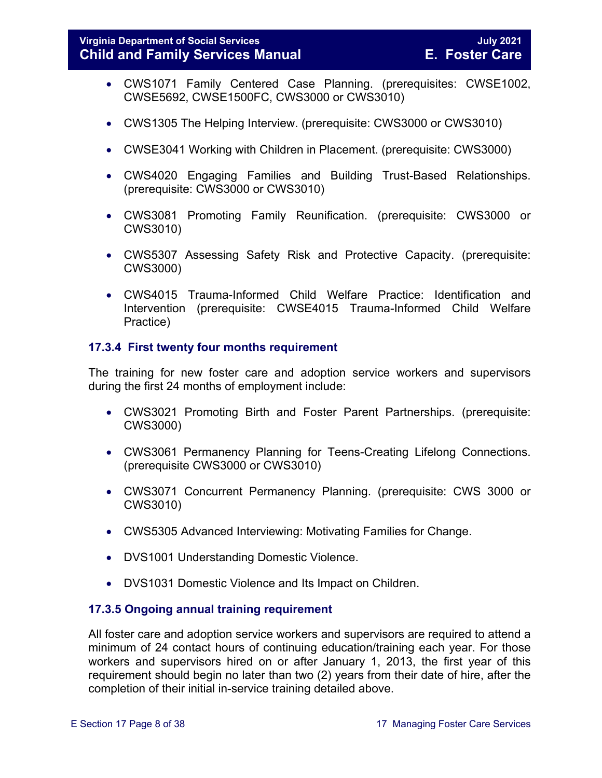- CWS1071 Family Centered Case Planning. (prerequisites: CWSE1002, CWSE5692, CWSE1500FC, CWS3000 or CWS3010)
- CWS1305 The Helping Interview. (prerequisite: CWS3000 or CWS3010)
- CWSE3041 Working with Children in Placement. (prerequisite: CWS3000)
- CWS4020 Engaging Families and Building Trust-Based Relationships. (prerequisite: CWS3000 or CWS3010)
- CWS3081 Promoting Family Reunification. (prerequisite: CWS3000 or CWS3010)
- CWS5307 Assessing Safety Risk and Protective Capacity. (prerequisite: CWS3000)
- CWS4015 Trauma-Informed Child Welfare Practice: Identification and Intervention (prerequisite: CWSE4015 Trauma-Informed Child Welfare Practice)

# <span id="page-7-0"></span>**17.3.4 First twenty four months requirement**

The training for new foster care and adoption service workers and supervisors during the first 24 months of employment include:

- CWS3021 Promoting Birth and Foster Parent Partnerships. (prerequisite: CWS3000)
- CWS3061 Permanency Planning for Teens-Creating Lifelong Connections. (prerequisite CWS3000 or CWS3010)
- CWS3071 Concurrent Permanency Planning. (prerequisite: CWS 3000 or CWS3010)
- CWS5305 Advanced Interviewing: Motivating Families for Change.
- DVS1001 Understanding Domestic Violence.
- DVS1031 Domestic Violence and Its Impact on Children.

### <span id="page-7-1"></span>**17.3.5 Ongoing annual training requirement**

All foster care and adoption service workers and supervisors are required to attend a minimum of 24 contact hours of continuing education/training each year. For those workers and supervisors hired on or after January 1, 2013, the first year of this requirement should begin no later than two (2) years from their date of hire, after the completion of their initial in-service training detailed above.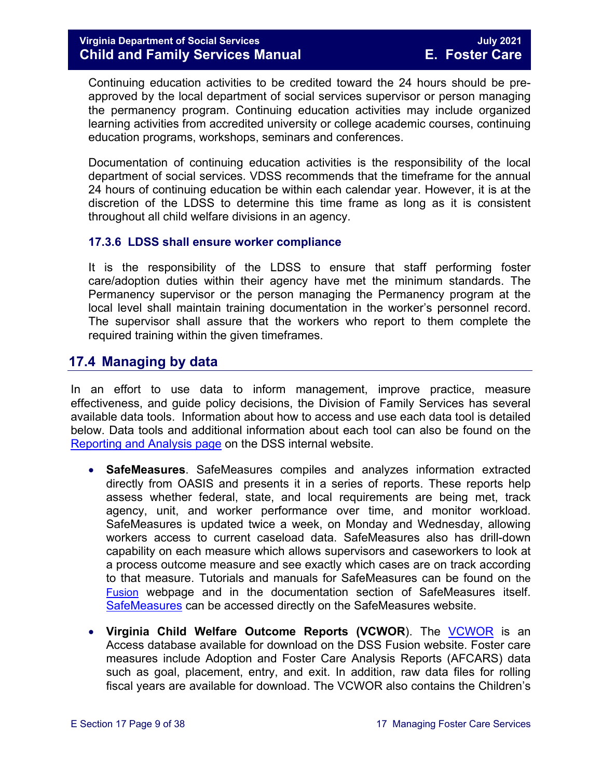Continuing education activities to be credited toward the 24 hours should be preapproved by the local department of social services supervisor or person managing the permanency program. Continuing education activities may include organized learning activities from accredited university or college academic courses, continuing education programs, workshops, seminars and conferences.

Documentation of continuing education activities is the responsibility of the local department of social services. VDSS recommends that the timeframe for the annual 24 hours of continuing education be within each calendar year. However, it is at the discretion of the LDSS to determine this time frame as long as it is consistent throughout all child welfare divisions in an agency.

# <span id="page-8-0"></span>**17.3.6 LDSS shall ensure worker compliance**

It is the responsibility of the LDSS to ensure that staff performing foster care/adoption duties within their agency have met the minimum standards. The Permanency supervisor or the person managing the Permanency program at the local level shall maintain training documentation in the worker's personnel record. The supervisor shall assure that the workers who report to them complete the required training within the given timeframes.

# <span id="page-8-1"></span>**17.4 Managing by data**

In an effort to use data to inform management, improve practice, measure effectiveness, and guide policy decisions, the Division of Family Services has several available data tools. Information about how to access and use each data tool is detailed below. Data tools and additional information about each tool can also be found on the [Reporting and Analysis page](https://fusion.dss.virginia.gov/dfs/DFS-Home/FAMILY-SERVICES-REPORTING) on the DSS internal website.

- **SafeMeasures**. SafeMeasures compiles and analyzes information extracted directly from OASIS and presents it in a series of reports. These reports help assess whether federal, state, and local requirements are being met, track agency, unit, and worker performance over time, and monitor workload. SafeMeasures is updated twice a week, on Monday and Wednesday, allowing workers access to current caseload data. SafeMeasures also has drill-down capability on each measure which allows supervisors and caseworkers to look at a process outcome measure and see exactly which cases are on track according to that measure. Tutorials and manuals for SafeMeasures can be found on the [Fusion](http://spark.dss.virginia.gov/divisions/dfs/reporting/index.cgi) webpage and in the documentation section of SafeMeasures itself. [SafeMeasures](https://app.safemeasures.org/vadss) can be accessed directly on the SafeMeasures website.
- **Virginia Child Welfare Outcome Reports (VCWOR**). The [VCWOR](https://fusion.dss.virginia.gov/dfs/DFS-Home/FAMILY-SERVICES-REPORTING) is an Access database available for download on the DSS Fusion website. Foster care measures include Adoption and Foster Care Analysis Reports (AFCARS) data such as goal, placement, entry, and exit. In addition, raw data files for rolling fiscal years are available for download. The VCWOR also contains the Children's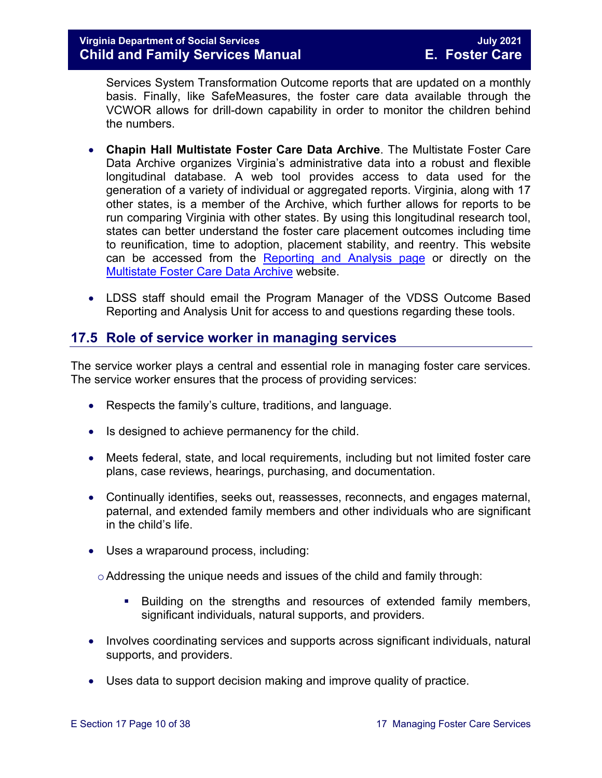Services System Transformation Outcome reports that are updated on a monthly basis. Finally, like SafeMeasures, the foster care data available through the VCWOR allows for drill-down capability in order to monitor the children behind the numbers.

- **Chapin Hall Multistate Foster Care Data Archive**. The Multistate Foster Care Data Archive organizes Virginia's administrative data into a robust and flexible longitudinal database. A web tool provides access to data used for the generation of a variety of individual or aggregated reports. Virginia, along with 17 other states, is a member of the Archive, which further allows for reports to be run comparing Virginia with other states. By using this longitudinal research tool, states can better understand the foster care placement outcomes including time to reunification, time to adoption, placement stability, and reentry. This website can be accessed from the [Reporting and Analysis page](https://fusion.dss.virginia.gov/dfs/DFS-Home/FAMILY-SERVICES-REPORTING) or directly on the [Multistate Foster Care Data Archive](https://fcda.chapinhall.org/) website.
- LDSS staff should email the Program Manager of the VDSS Outcome Based Reporting and Analysis Unit for access to and questions regarding these tools.

# <span id="page-9-0"></span>**17.5 Role of service worker in managing services**

The service worker plays a central and essential role in managing foster care services. The service worker ensures that the process of providing services:

- Respects the family's culture, traditions, and language.
- Is designed to achieve permanency for the child.
- Meets federal, state, and local requirements, including but not limited foster care plans, case reviews, hearings, purchasing, and documentation.
- Continually identifies, seeks out, reassesses, reconnects, and engages maternal, paternal, and extended family members and other individuals who are significant in the child's life.
- Uses a wraparound process, including:
	- $\circ$  Addressing the unique needs and issues of the child and family through:
		- Building on the strengths and resources of extended family members, significant individuals, natural supports, and providers.
- Involves coordinating services and supports across significant individuals, natural supports, and providers.
- Uses data to support decision making and improve quality of practice.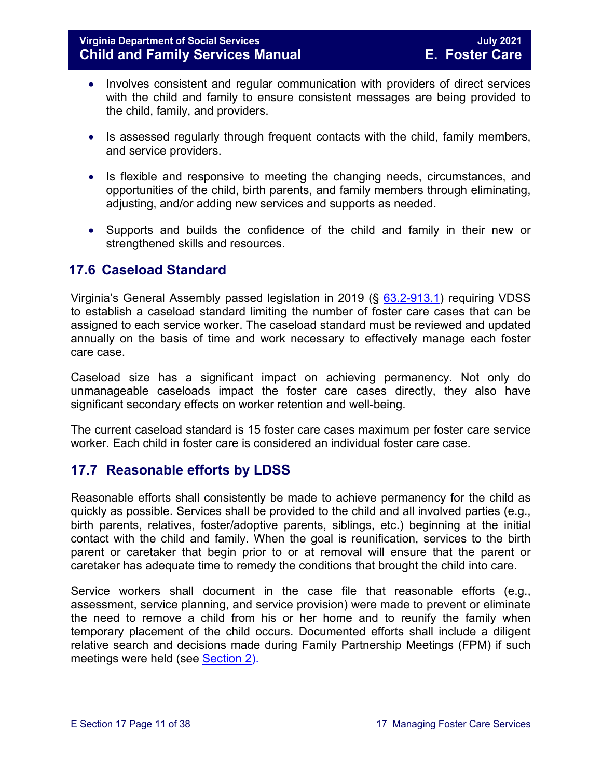- Involves consistent and regular communication with providers of direct services with the child and family to ensure consistent messages are being provided to the child, family, and providers.
- Is assessed regularly through frequent contacts with the child, family members, and service providers.
- Is flexible and responsive to meeting the changing needs, circumstances, and opportunities of the child, birth parents, and family members through eliminating, adjusting, and/or adding new services and supports as needed.
- Supports and builds the confidence of the child and family in their new or strengthened skills and resources.

# <span id="page-10-0"></span>**17.6 Caseload Standard**

Virginia's General Assembly passed legislation in 2019 (§ [63.2-913.1\)](https://law.lis.virginia.gov/vacode/title63.2/chapter9/section63.2-913.1/) requiring VDSS to establish a caseload standard limiting the number of foster care cases that can be assigned to each service worker. The caseload standard must be reviewed and updated annually on the basis of time and work necessary to effectively manage each foster care case.

Caseload size has a significant impact on achieving permanency. Not only do unmanageable caseloads impact the foster care cases directly, they also have significant secondary effects on worker retention and well-being.

The current caseload standard is 15 foster care cases maximum per foster care service worker. Each child in foster care is considered an individual foster care case.

# <span id="page-10-1"></span>**17.7 Reasonable efforts by LDSS**

Reasonable efforts shall consistently be made to achieve permanency for the child as quickly as possible. Services shall be provided to the child and all involved parties (e.g., birth parents, relatives, foster/adoptive parents, siblings, etc.) beginning at the initial contact with the child and family. When the goal is reunification, services to the birth parent or caretaker that begin prior to or at removal will ensure that the parent or caretaker has adequate time to remedy the conditions that brought the child into care.

Service workers shall document in the case file that reasonable efforts (e.g., assessment, service planning, and service provision) were made to prevent or eliminate the need to remove a child from his or her home and to reunify the family when temporary placement of the child occurs. Documented efforts shall include a diligent relative search and decisions made during Family Partnership Meetings (FPM) if such meetings were held (see [Section 2\)](https://fusion.dss.virginia.gov/Portals/%5bdfs%5d/Files/DFS%20Manuals/Foster%20Care%20Manuals/Foster%20Care%20Manual%2007-2020/Final%20Foster%20Care%20Manual%2007-2020/section_2_engaging_the_child_family_and_significant_adults.pdf).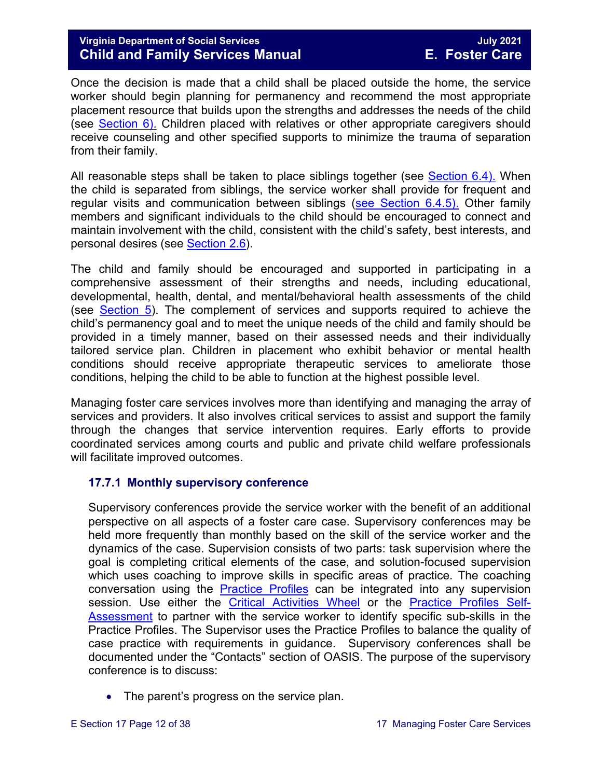# **Virginia Department of Social Services July 2021 Child and Family Services Manual E. Foster Care**

Once the decision is made that a child shall be placed outside the home, the service worker should begin planning for permanency and recommend the most appropriate placement resource that builds upon the strengths and addresses the needs of the child (see [Section 6\).](https://fusion.dss.virginia.gov/Portals/%5bdfs%5d/Files/DFS%20Manuals/Foster%20Care%20Manuals/Foster%20Care%20Manual%2007-2020/Final%20Foster%20Care%20Manual%2007-2020/section_6_placement_to_achieve_permanency.pdf) Children placed with relatives or other appropriate caregivers should receive counseling and other specified supports to minimize the trauma of separation from their family.

All reasonable steps shall be taken to place siblings together (see Section 6.4). When the child is separated from siblings, the service worker shall provide for frequent and regular visits and communication between siblings (see Section 6.4.5). Other family members and significant individuals to the child should be encouraged to connect and maintain involvement with the child, consistent with the child's safety, best interests, and personal desires (see [Section](https://fusion.dss.virginia.gov/Portals/%5bdfs%5d/Files/DFS%20Manuals/Foster%20Care%20Manuals/Foster%20Care%20Manual%2007-2020/Final%20Foster%20Care%20Manual%2007-2020/section_2_engaging_the_child_family_and_significant_adults.pdf#page=13) 2.6).

The child and family should be encouraged and supported in participating in a comprehensive assessment of their strengths and needs, including educational, developmental, health, dental, and mental/behavioral health assessments of the child (see [Section 5\)](https://fusion.dss.virginia.gov/Portals/%5bdfs%5d/Files/DFS%20Manuals/Foster%20Care%20Manuals/Foster%20Care%20Manual%2007-2020/Final%20Foster%20Care%20Manual%2007-2020/section_5_conducting_child_and_family_assessment.pdf). The complement of services and supports required to achieve the child's permanency goal and to meet the unique needs of the child and family should be provided in a timely manner, based on their assessed needs and their individually tailored service plan. Children in placement who exhibit behavior or mental health conditions should receive appropriate therapeutic services to ameliorate those conditions, helping the child to be able to function at the highest possible level.

Managing foster care services involves more than identifying and managing the array of services and providers. It also involves critical services to assist and support the family through the changes that service intervention requires. Early efforts to provide coordinated services among courts and public and private child welfare professionals will facilitate improved outcomes.

# <span id="page-11-0"></span>**17.7.1 Monthly supervisory conference**

Supervisory conferences provide the service worker with the benefit of an additional perspective on all aspects of a foster care case. Supervisory conferences may be held more frequently than monthly based on the skill of the service worker and the dynamics of the case. Supervision consists of two parts: task supervision where the goal is completing critical elements of the case, and solution-focused supervision which uses coaching to improve skills in specific areas of practice. The coaching conversation using the [Practice Profiles](https://fusion.dss.virginia.gov/Portals/%5Bdfs%5D/Files/Children%27s%20Services%20Practice%20Model/Practice%20Profiles%20%26%20Coaching/VDSSFamServ_Practice_ProfilesV12016.pdf) can be integrated into any supervision session. Use either the [Critical Activities Wheel](https://fusion.dss.virginia.gov/Portals/%5Bdfs%5D/Files/Children%27s%20Services%20Practice%20Model/Practice%20Profiles%20%26%20Coaching/Critical_Activities_Wheel.pdf) or the [Practice Profiles Self-](https://fusion.dss.virginia.gov/Portals/%5Bdfs%5D/Files/Children%27s%20Services%20Practice%20Model/Practice%20Profiles%20%26%20Coaching/Practice_Profiles_Self-Assessmentv2.pdf)[Assessment](https://fusion.dss.virginia.gov/Portals/%5Bdfs%5D/Files/Children%27s%20Services%20Practice%20Model/Practice%20Profiles%20%26%20Coaching/Practice_Profiles_Self-Assessmentv2.pdf) to partner with the service worker to identify specific sub-skills in the Practice Profiles. The Supervisor uses the Practice Profiles to balance the quality of case practice with requirements in guidance. Supervisory conferences shall be documented under the "Contacts" section of OASIS. The purpose of the supervisory conference is to discuss:

• The parent's progress on the service plan.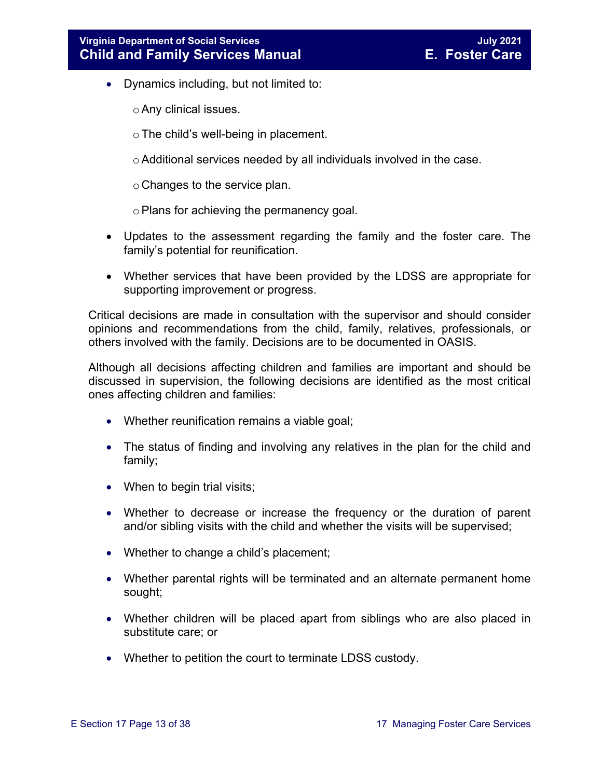- Dynamics including, but not limited to:
	- oAny clinical issues.
	- oThe child's well-being in placement.
	- oAdditional services needed by all individuals involved in the case.
	- o Changes to the service plan.
	- oPlans for achieving the permanency goal.
- Updates to the assessment regarding the family and the foster care. The family's potential for reunification.
- Whether services that have been provided by the LDSS are appropriate for supporting improvement or progress.

Critical decisions are made in consultation with the supervisor and should consider opinions and recommendations from the child, family, relatives, professionals, or others involved with the family. Decisions are to be documented in OASIS.

Although all decisions affecting children and families are important and should be discussed in supervision, the following decisions are identified as the most critical ones affecting children and families:

- Whether reunification remains a viable goal;
- The status of finding and involving any relatives in the plan for the child and family;
- When to begin trial visits;
- Whether to decrease or increase the frequency or the duration of parent and/or sibling visits with the child and whether the visits will be supervised;
- Whether to change a child's placement;
- Whether parental rights will be terminated and an alternate permanent home sought;
- Whether children will be placed apart from siblings who are also placed in substitute care; or
- Whether to petition the court to terminate LDSS custody.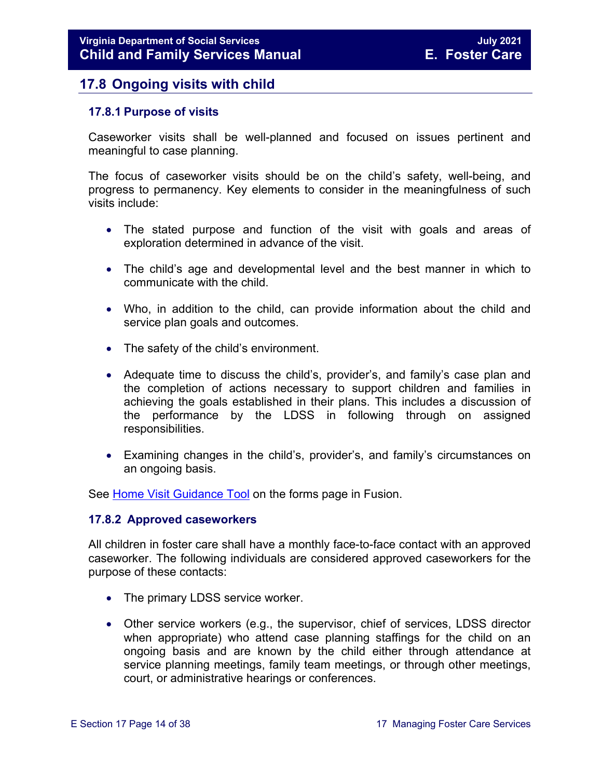# <span id="page-13-0"></span>**17.8 Ongoing visits with child**

# <span id="page-13-1"></span>**17.8.1 Purpose of visits**

Caseworker visits shall be well-planned and focused on issues pertinent and meaningful to case planning.

The focus of caseworker visits should be on the child's safety, well-being, and progress to permanency. Key elements to consider in the meaningfulness of such visits include:

- The stated purpose and function of the visit with goals and areas of exploration determined in advance of the visit.
- The child's age and developmental level and the best manner in which to communicate with the child.
- Who, in addition to the child, can provide information about the child and service plan goals and outcomes.
- The safety of the child's environment.
- Adequate time to discuss the child's, provider's, and family's case plan and the completion of actions necessary to support children and families in achieving the goals established in their plans. This includes a discussion of the performance by the LDSS in following through on assigned responsibilities.
- Examining changes in the child's, provider's, and family's circumstances on an ongoing basis.

See Home Visit [Guidance Tool](https://fusion.dss.virginia.gov/Portals/%5Bdfs%5D/Files/Foster%20Care/Job%20Aids%20%26%20Resources/Monthly%20Worker%20Visit%20Checklist.pdf) on the forms page in Fusion.

### <span id="page-13-2"></span>**17.8.2 Approved caseworkers**

All children in foster care shall have a monthly face-to-face contact with an approved caseworker. The following individuals are considered approved caseworkers for the purpose of these contacts:

- The primary LDSS service worker.
- Other service workers (e.g., the supervisor, chief of services, LDSS director when appropriate) who attend case planning staffings for the child on an ongoing basis and are known by the child either through attendance at service planning meetings, family team meetings, or through other meetings, court, or administrative hearings or conferences.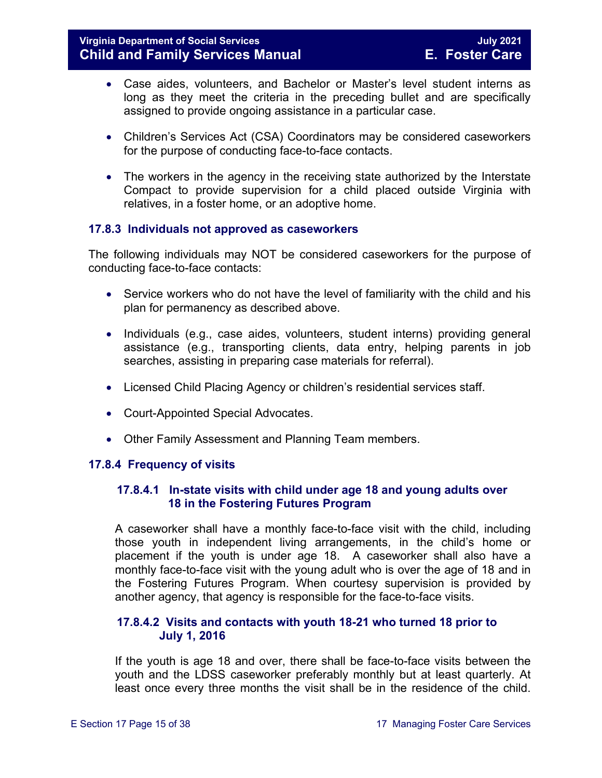- Case aides, volunteers, and Bachelor or Master's level student interns as long as they meet the criteria in the preceding bullet and are specifically assigned to provide ongoing assistance in a particular case.
- Children's Services Act (CSA) Coordinators may be considered caseworkers for the purpose of conducting face-to-face contacts.
- The workers in the agency in the receiving state authorized by the Interstate Compact to provide supervision for a child placed outside Virginia with relatives, in a foster home, or an adoptive home.

# <span id="page-14-0"></span>**17.8.3 Individuals not approved as caseworkers**

The following individuals may NOT be considered caseworkers for the purpose of conducting face-to-face contacts:

- Service workers who do not have the level of familiarity with the child and his plan for permanency as described above.
- Individuals (e.g., case aides, volunteers, student interns) providing general assistance (e.g., transporting clients, data entry, helping parents in job searches, assisting in preparing case materials for referral).
- Licensed Child Placing Agency or children's residential services staff.
- Court-Appointed Special Advocates.
- Other Family Assessment and Planning Team members.

# <span id="page-14-1"></span>**17.8.4 Frequency of visits**

# **17.8.4.1 In-state visits with child under age 18 and young adults over 18 in the Fostering Futures Program**

A caseworker shall have a monthly face-to-face visit with the child, including those youth in independent living arrangements, in the child's home or placement if the youth is under age 18. A caseworker shall also have a monthly face-to-face visit with the young adult who is over the age of 18 and in the Fostering Futures Program. When courtesy supervision is provided by another agency, that agency is responsible for the face-to-face visits.

# **17.8.4.2 Visits and contacts with youth 18-21 who turned 18 prior to July 1, 2016**

If the youth is age 18 and over, there shall be face-to-face visits between the youth and the LDSS caseworker preferably monthly but at least quarterly. At least once every three months the visit shall be in the residence of the child.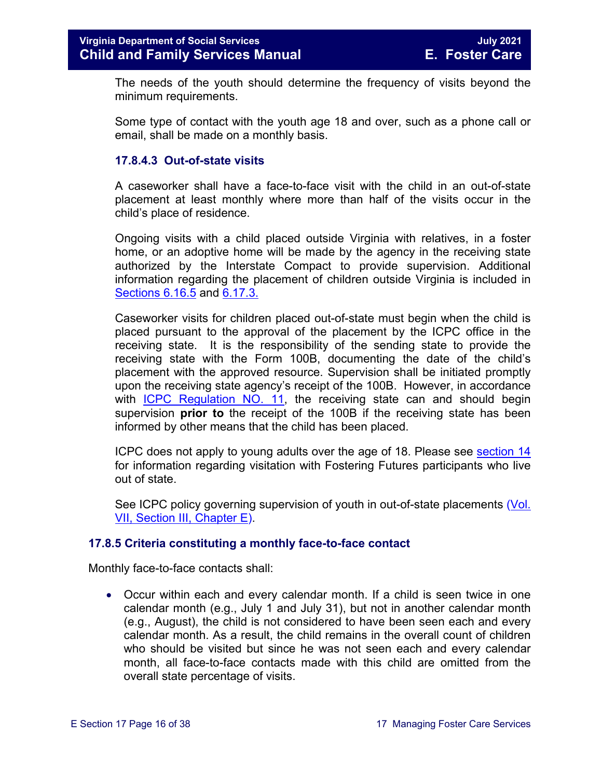The needs of the youth should determine the frequency of visits beyond the minimum requirements.

Some type of contact with the youth age 18 and over, such as a phone call or email, shall be made on a monthly basis.

# **17.8.4.3 Out-of-state visits**

A caseworker shall have a face-to-face visit with the child in an out-of-state placement at least monthly where more than half of the visits occur in the child's place of residence.

Ongoing visits with a child placed outside Virginia with relatives, in a foster home, or an adoptive home will be made by the agency in the receiving state authorized by the Interstate Compact to provide supervision. Additional information regarding the placement of children outside Virginia is included in Sections 6.16.5 and 6.17.3.

Caseworker visits for children placed out-of-state must begin when the child is placed pursuant to the approval of the placement by the ICPC office in the receiving state. It is the responsibility of the sending state to provide the receiving state with the Form 100B, documenting the date of the child's placement with the approved resource. Supervision shall be initiated promptly upon the receiving state agency's receipt of the 100B. However, in accordance with **ICPC** Regulation NO. 11, the receiving state can and should begin supervision **prior to** the receipt of the 100B if the receiving state has been informed by other means that the child has been placed.

ICPC does not apply to young adults over the age of 18. Please see [section 14](https://fusion.dss.virginia.gov/Portals/%5bdfs%5d/Files/DFS%20Manuals/Foster%20Care%20Manuals/Foster%20Care%20Manual%2007-2020/Final%20Foster%20Care%20Manual%2007-2020/Section_14_Fostering_Futures.pdf) for information regarding visitation with Fostering Futures participants who live out of state.

See ICPC policy governing supervision of youth in out-of-state placements (Vol. [VII, Section III, Chapter E\)](https://fusion.dss.virginia.gov/Portals/%5Bdfs%5D/Files/ICPC%20and%20ICAMA/procedures.pdf).

### <span id="page-15-0"></span>**17.8.5 Criteria constituting a monthly face-to-face contact**

Monthly face-to-face contacts shall:

• Occur within each and every calendar month. If a child is seen twice in one calendar month (e.g., July 1 and July 31), but not in another calendar month (e.g., August), the child is not considered to have been seen each and every calendar month. As a result, the child remains in the overall count of children who should be visited but since he was not seen each and every calendar month, all face-to-face contacts made with this child are omitted from the overall state percentage of visits.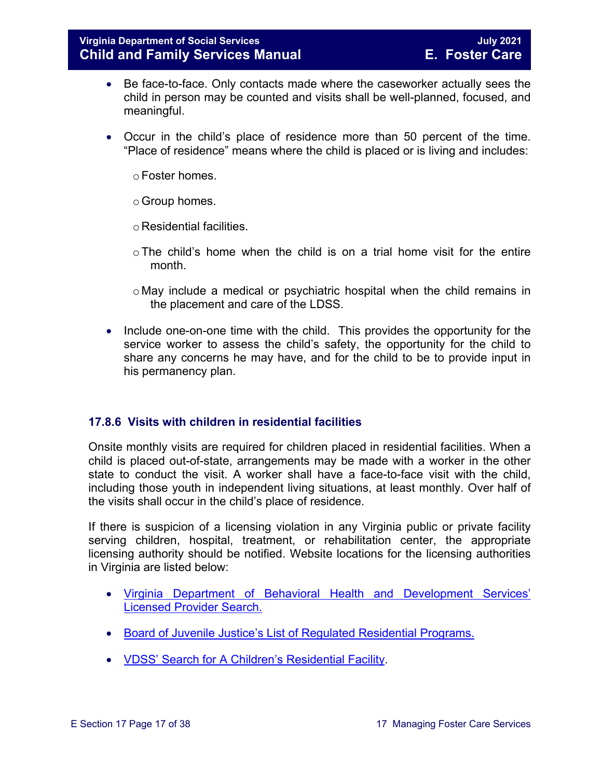- Be face-to-face. Only contacts made where the caseworker actually sees the child in person may be counted and visits shall be well-planned, focused, and meaningful.
- Occur in the child's place of residence more than 50 percent of the time. "Place of residence" means where the child is placed or is living and includes:
	- o Foster homes.
	- o Group homes.
	- o Residential facilities.
	- $\circ$  The child's home when the child is on a trial home visit for the entire month.
	- o May include a medical or psychiatric hospital when the child remains in the placement and care of the LDSS.
- Include one-on-one time with the child. This provides the opportunity for the service worker to assess the child's safety, the opportunity for the child to share any concerns he may have, and for the child to be to provide input in his permanency plan.

# <span id="page-16-0"></span>**17.8.6 Visits with children in residential facilities**

Onsite monthly visits are required for children placed in residential facilities. When a child is placed out-of-state, arrangements may be made with a worker in the other state to conduct the visit. A worker shall have a face-to-face visit with the child, including those youth in independent living situations, at least monthly. Over half of the visits shall occur in the child's place of residence.

If there is suspicion of a licensing violation in any Virginia public or private facility serving children, hospital, treatment, or rehabilitation center, the appropriate licensing authority should be notified. Website locations for the licensing authorities in Virginia are listed below:

- [Virginia Department of Behavioral Health and Development Services'](http://www.dbhds.virginia.gov/professionals-and-service-providers/licensing)  [Licensed Provider Search.](http://www.dbhds.virginia.gov/professionals-and-service-providers/licensing)
- [Board of Juvenile Justice's List of Regulated Residential Programs.](http://www.djj.virginia.gov/pages/about-djj/djj-board.htm)
- [VDSS' Search for A Children's Residential Facility.](http://www.dss.virginia.gov/facility/search/crf.cgi)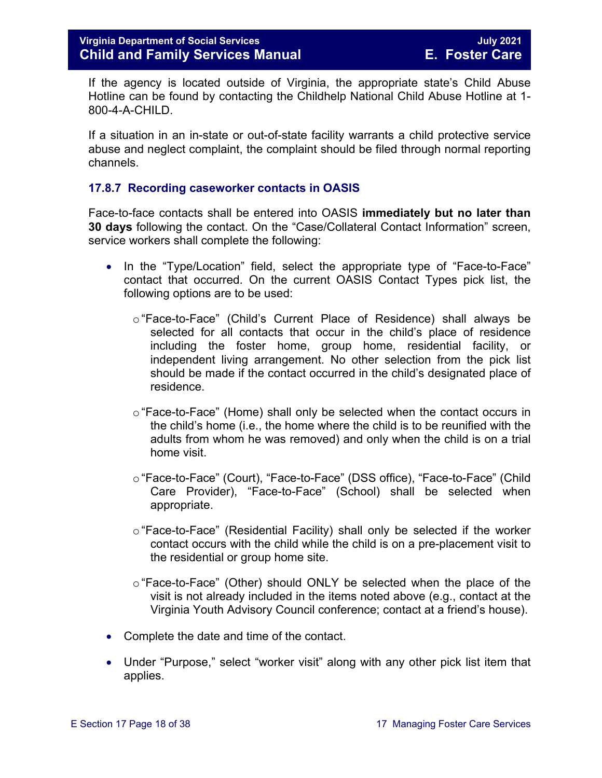If the agency is located outside of Virginia, the appropriate state's Child Abuse Hotline can be found by contacting the Childhelp National Child Abuse Hotline at 1- 800-4-A-CHILD.

If a situation in an in-state or out-of-state facility warrants a child protective service abuse and neglect complaint, the complaint should be filed through normal reporting channels.

# <span id="page-17-0"></span>**17.8.7 Recording caseworker contacts in OASIS**

Face-to-face contacts shall be entered into OASIS **immediately but no later than 30 days** following the contact. On the "Case/Collateral Contact Information" screen, service workers shall complete the following:

- In the "Type/Location" field, select the appropriate type of "Face-to-Face" contact that occurred. On the current OASIS Contact Types pick list, the following options are to be used:
	- o"Face-to-Face" (Child's Current Place of Residence) shall always be selected for all contacts that occur in the child's place of residence including the foster home, group home, residential facility, or independent living arrangement. No other selection from the pick list should be made if the contact occurred in the child's designated place of residence.
	- $\circ$  "Face-to-Face" (Home) shall only be selected when the contact occurs in the child's home (i.e., the home where the child is to be reunified with the adults from whom he was removed) and only when the child is on a trial home visit.
	- o"Face-to-Face" (Court), "Face-to-Face" (DSS office), "Face-to-Face" (Child Care Provider), "Face-to-Face" (School) shall be selected when appropriate.
	- $\circ$  "Face-to-Face" (Residential Facility) shall only be selected if the worker contact occurs with the child while the child is on a pre-placement visit to the residential or group home site.
	- o"Face-to-Face" (Other) should ONLY be selected when the place of the visit is not already included in the items noted above (e.g., contact at the Virginia Youth Advisory Council conference; contact at a friend's house).
- Complete the date and time of the contact.
- Under "Purpose," select "worker visit" along with any other pick list item that applies.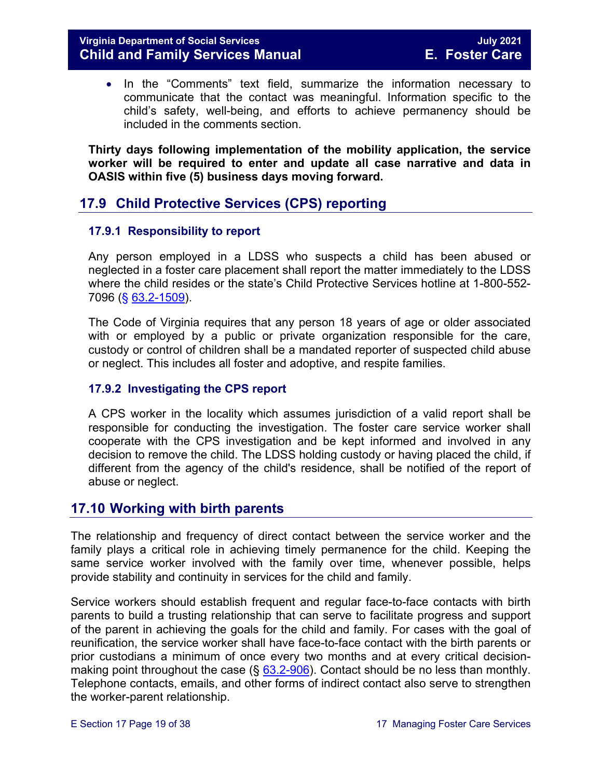• In the "Comments" text field, summarize the information necessary to communicate that the contact was meaningful. Information specific to the child's safety, well-being, and efforts to achieve permanency should be included in the comments section.

**Thirty days following implementation of the mobility application, the service worker will be required to enter and update all case narrative and data in OASIS within five (5) business days moving forward.** 

# <span id="page-18-0"></span>**17.9 Child Protective Services (CPS) reporting**

# <span id="page-18-1"></span>**17.9.1 Responsibility to report**

Any person employed in a LDSS who suspects a child has been abused or neglected in a foster care placement shall report the matter immediately to the LDSS where the child resides or the state's Child Protective Services hotline at 1-800-552- 7096 (§ [63.2-1509\)](https://law.lis.virginia.go/vacode/63.2-1509/).

The Code of Virginia requires that any person 18 years of age or older associated with or employed by a public or private organization responsible for the care, custody or control of children shall be a mandated reporter of suspected child abuse or neglect. This includes all foster and adoptive, and respite families.

# <span id="page-18-2"></span>**17.9.2 Investigating the CPS report**

A CPS worker in the locality which assumes jurisdiction of a valid report shall be responsible for conducting the investigation. The foster care service worker shall cooperate with the CPS investigation and be kept informed and involved in any decision to remove the child. The LDSS holding custody or having placed the child, if different from the agency of the child's residence, shall be notified of the report of abuse or neglect.

# <span id="page-18-3"></span>**17.10 Working with birth parents**

The relationship and frequency of direct contact between the service worker and the family plays a critical role in achieving timely permanence for the child. Keeping the same service worker involved with the family over time, whenever possible, helps provide stability and continuity in services for the child and family.

Service workers should establish frequent and regular face-to-face contacts with birth parents to build a trusting relationship that can serve to facilitate progress and support of the parent in achieving the goals for the child and family. For cases with the goal of reunification, the service worker shall have face-to-face contact with the birth parents or prior custodians a minimum of once every two months and at every critical decisionmaking point throughout the case  $(\frac{6}{9} 63.2 - 906)$ . Contact should be no less than monthly. Telephone contacts, emails, and other forms of indirect contact also serve to strengthen the worker-parent relationship.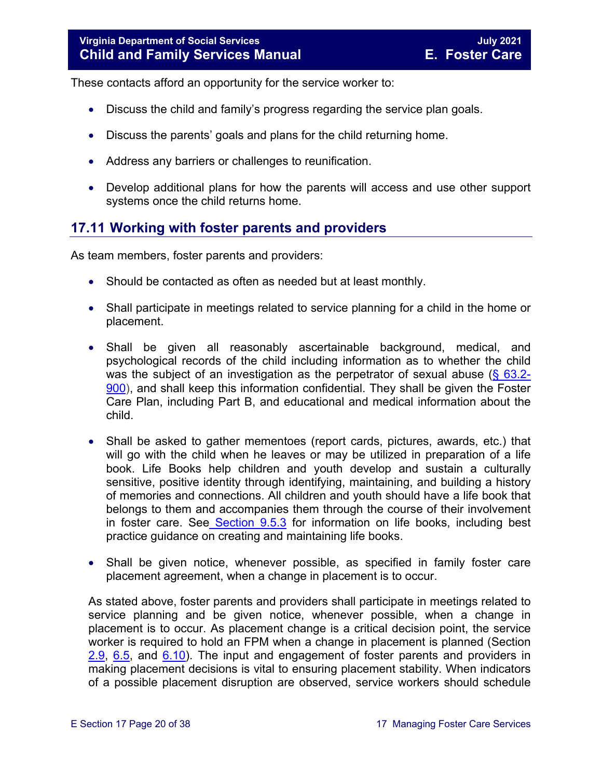These contacts afford an opportunity for the service worker to:

- Discuss the child and family's progress regarding the service plan goals.
- Discuss the parents' goals and plans for the child returning home.
- Address any barriers or challenges to reunification.
- Develop additional plans for how the parents will access and use other support systems once the child returns home.

# <span id="page-19-0"></span>**17.11 Working with foster parents and providers**

As team members, foster parents and providers:

- Should be contacted as often as needed but at least monthly.
- Shall participate in meetings related to service planning for a child in the home or placement.
- Shall be given all reasonably ascertainable background, medical, and psychological records of the child including information as to whether the child was the subject of an investigation as the perpetrator of sexual abuse ( $\frac{6}{9}$  63.2-[900\)](https://law.lis.virginia.gov/vacode/title63.2/chapter9/section63.2-900/), and shall keep this information confidential. They shall be given the Foster Care Plan, including Part B, and educational and medical information about the child.
- Shall be asked to gather mementoes (report cards, pictures, awards, etc.) that will go with the child when he leaves or may be utilized in preparation of a life book. Life Books help children and youth develop and sustain a culturally sensitive, positive identity through identifying, maintaining, and building a history of memories and connections. All children and youth should have a life book that belongs to them and accompanies them through the course of their involvement in foster care. See [Section](https://fusion.dss.virginia.gov/Portals/%5bdfs%5d/Files/DFS%20Manuals/Foster%20Care%20Manuals/Foster%20Care%20Manual%2007-2020/Final%20Foster%20Care%20Manual%2007-2020/section_9_achieving_permanency_goal_adoption.pdf#page=18) 9.5.3 for information on life books, including best practice guidance on creating and maintaining life books.
- Shall be given notice, whenever possible, as specified in family foster care placement agreement, when a change in placement is to occur.

As stated above, foster parents and providers shall participate in meetings related to service planning and be given notice, whenever possible, when a change in placement is to occur. As placement change is a critical decision point, the service worker is required to hold an FPM when a change in placement is planned (Section [2.9,](https://fusion.dss.virginia.gov/Portals/%5bdfs%5d/Files/DFS%20Manuals/Foster%20Care%20Manuals/Foster%20Care%20Manual%2007-2020/Final%20Foster%20Care%20Manual%2007-2020/section_2_engaging_the_child_family_and_significant_adults.pdf#page=19) 6.5, and 6.10). The input and engagement of foster parents and providers in making placement decisions is vital to ensuring placement stability. When indicators of a possible placement disruption are observed, service workers should schedule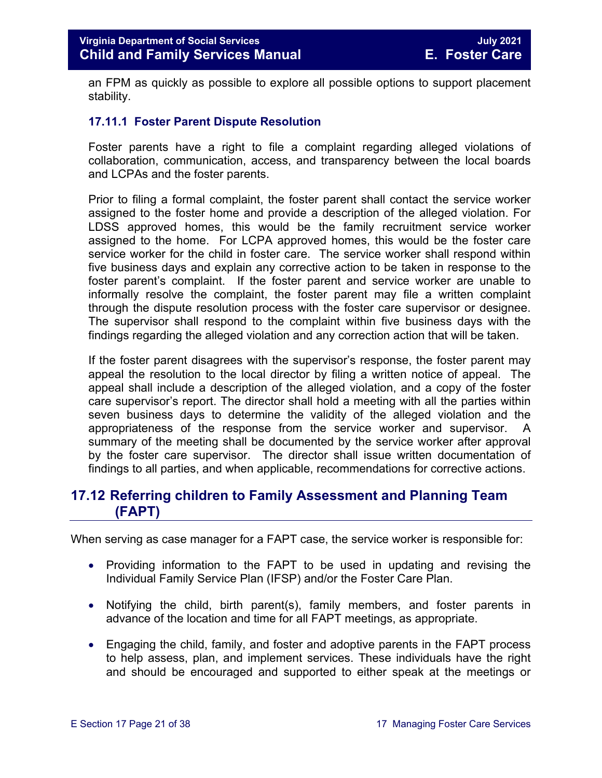an FPM as quickly as possible to explore all possible options to support placement stability.

# <span id="page-20-0"></span>**17.11.1 Foster Parent Dispute Resolution**

Foster parents have a right to file a complaint regarding alleged violations of collaboration, communication, access, and transparency between the local boards and LCPAs and the foster parents.

Prior to filing a formal complaint, the foster parent shall contact the service worker assigned to the foster home and provide a description of the alleged violation. For LDSS approved homes, this would be the family recruitment service worker assigned to the home. For LCPA approved homes, this would be the foster care service worker for the child in foster care. The service worker shall respond within five business days and explain any corrective action to be taken in response to the foster parent's complaint. If the foster parent and service worker are unable to informally resolve the complaint, the foster parent may file a written complaint through the dispute resolution process with the foster care supervisor or designee. The supervisor shall respond to the complaint within five business days with the findings regarding the alleged violation and any correction action that will be taken.

If the foster parent disagrees with the supervisor's response, the foster parent may appeal the resolution to the local director by filing a written notice of appeal. The appeal shall include a description of the alleged violation, and a copy of the foster care supervisor's report. The director shall hold a meeting with all the parties within seven business days to determine the validity of the alleged violation and the appropriateness of the response from the service worker and supervisor. A summary of the meeting shall be documented by the service worker after approval by the foster care supervisor. The director shall issue written documentation of findings to all parties, and when applicable, recommendations for corrective actions.

# <span id="page-20-1"></span>**17.12 Referring children to Family Assessment and Planning Team (FAPT)**

When serving as case manager for a FAPT case, the service worker is responsible for:

- Providing information to the FAPT to be used in updating and revising the Individual Family Service Plan (IFSP) and/or the Foster Care Plan.
- Notifying the child, birth parent(s), family members, and foster parents in advance of the location and time for all FAPT meetings, as appropriate.
- Engaging the child, family, and foster and adoptive parents in the FAPT process to help assess, plan, and implement services. These individuals have the right and should be encouraged and supported to either speak at the meetings or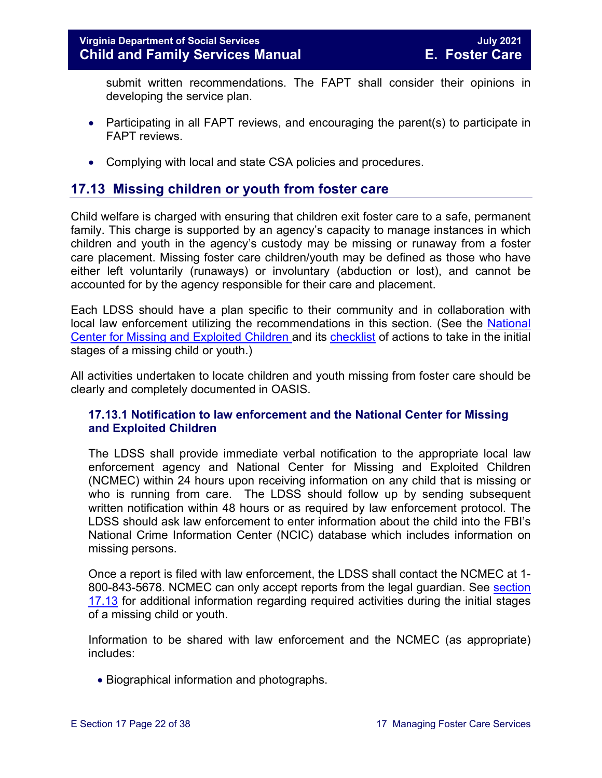submit written recommendations. The FAPT shall consider their opinions in developing the service plan.

- Participating in all FAPT reviews, and encouraging the parent(s) to participate in FAPT reviews.
- Complying with local and state CSA policies and procedures.

# <span id="page-21-0"></span>**17.13 Missing children or youth from foster care**

Child welfare is charged with ensuring that children exit foster care to a safe, permanent family. This charge is supported by an agency's capacity to manage instances in which children and youth in the agency's custody may be missing or runaway from a foster care placement. Missing foster care children/youth may be defined as those who have either left voluntarily (runaways) or involuntary (abduction or lost), and cannot be accounted for by the agency responsible for their care and placement.

Each LDSS should have a plan specific to their community and in collaboration with local law enforcement utilizing the recommendations in this section. (See the [National](http://www.missingkids.com/MissingChild)  [Center for Missing and Exploited Children](http://www.missingkids.com/MissingChild) and its [checklist](http://www.missingkids.com/content/dam/missingkids/pdfs/publications/nc198.pdf) of actions to take in the initial stages of a missing child or youth.)

All activities undertaken to locate children and youth missing from foster care should be clearly and completely documented in OASIS.

# <span id="page-21-1"></span>**17.13.1 Notification to law enforcement and the National Center for Missing and Exploited Children**

The LDSS shall provide immediate verbal notification to the appropriate local law enforcement agency and National Center for Missing and Exploited Children (NCMEC) within 24 hours upon receiving information on any child that is missing or who is running from care. The LDSS should follow up by sending subsequent written notification within 48 hours or as required by law enforcement protocol. The LDSS should ask law enforcement to enter information about the child into the FBI's National Crime Information Center (NCIC) database which includes information on missing persons.

Once a report is filed with law enforcement, the LDSS shall contact the NCMEC at 1- 800-843-5678. NCMEC can only accept reports from the legal guardian. See [section](#page-21-0)  [17.13](#page-21-0) for additional information regarding required activities during the initial stages of a missing child or youth.

Information to be shared with law enforcement and the NCMEC (as appropriate) includes:

• Biographical information and photographs.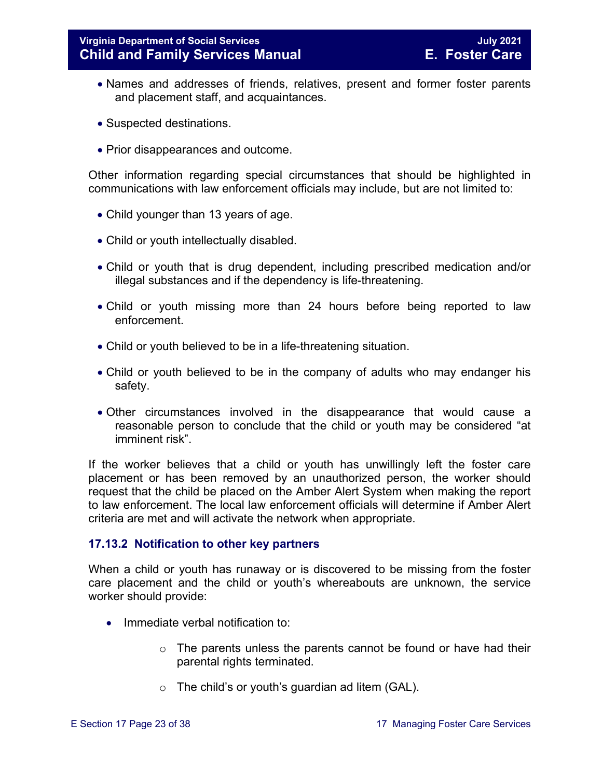- Names and addresses of friends, relatives, present and former foster parents and placement staff, and acquaintances.
- Suspected destinations.
- Prior disappearances and outcome.

Other information regarding special circumstances that should be highlighted in communications with law enforcement officials may include, but are not limited to:

- Child younger than 13 years of age.
- Child or youth intellectually disabled.
- Child or youth that is drug dependent, including prescribed medication and/or illegal substances and if the dependency is life-threatening.
- Child or youth missing more than 24 hours before being reported to law enforcement.
- Child or youth believed to be in a life-threatening situation.
- Child or youth believed to be in the company of adults who may endanger his safety.
- Other circumstances involved in the disappearance that would cause a reasonable person to conclude that the child or youth may be considered "at imminent risk".

If the worker believes that a child or youth has unwillingly left the foster care placement or has been removed by an unauthorized person, the worker should request that the child be placed on the Amber Alert System when making the report to law enforcement. The local law enforcement officials will determine if Amber Alert criteria are met and will activate the network when appropriate.

### <span id="page-22-0"></span>**17.13.2 Notification to other key partners**

When a child or youth has runaway or is discovered to be missing from the foster care placement and the child or youth's whereabouts are unknown, the service worker should provide:

- Immediate verbal notification to:
	- o The parents unless the parents cannot be found or have had their parental rights terminated.
	- $\circ$  The child's or youth's guardian ad litem (GAL).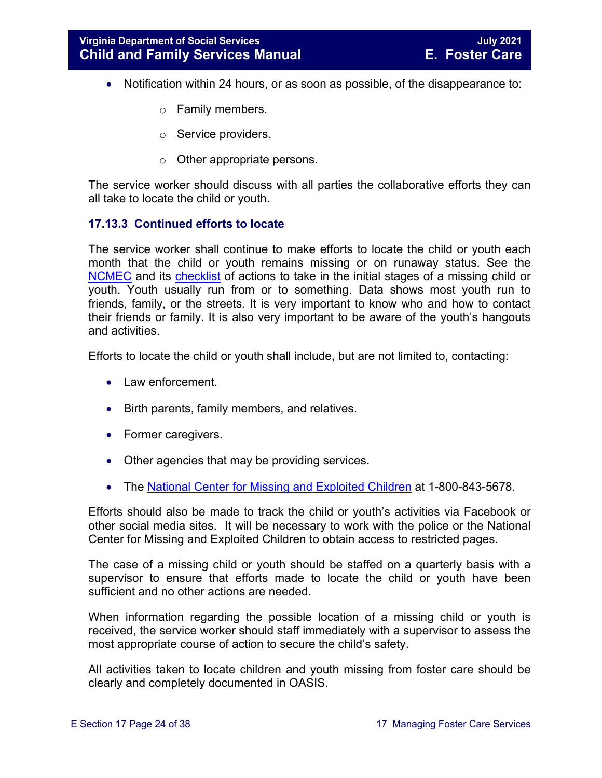- Notification within 24 hours, or as soon as possible, of the disappearance to:
	- o Family members.
	- o Service providers.
	- o Other appropriate persons.

The service worker should discuss with all parties the collaborative efforts they can all take to locate the child or youth.

# <span id="page-23-0"></span>**17.13.3 Continued efforts to locate**

The service worker shall continue to make efforts to locate the child or youth each month that the child or youth remains missing or on runaway status. See the [NCMEC](http://www.missingkids.com/MissingChild) and its [checklist](http://www.missingkids.com/content/dam/missingkids/pdfs/publications/nc198.pdf) of actions to take in the initial stages of a missing child or youth. Youth usually run from or to something. Data shows most youth run to friends, family, or the streets. It is very important to know who and how to contact their friends or family. It is also very important to be aware of the youth's hangouts and activities.

Efforts to locate the child or youth shall include, but are not limited to, contacting:

- Law enforcement.
- Birth parents, family members, and relatives.
- Former caregivers.
- Other agencies that may be providing services.
- The [National Center for Missing and Exploited Children](http://www.missingkids.com/MissingChild) at 1-800-843-5678.

Efforts should also be made to track the child or youth's activities via Facebook or other social media sites. It will be necessary to work with the police or the National Center for Missing and Exploited Children to obtain access to restricted pages.

The case of a missing child or youth should be staffed on a quarterly basis with a supervisor to ensure that efforts made to locate the child or youth have been sufficient and no other actions are needed.

When information regarding the possible location of a missing child or youth is received, the service worker should staff immediately with a supervisor to assess the most appropriate course of action to secure the child's safety.

All activities taken to locate children and youth missing from foster care should be clearly and completely documented in OASIS.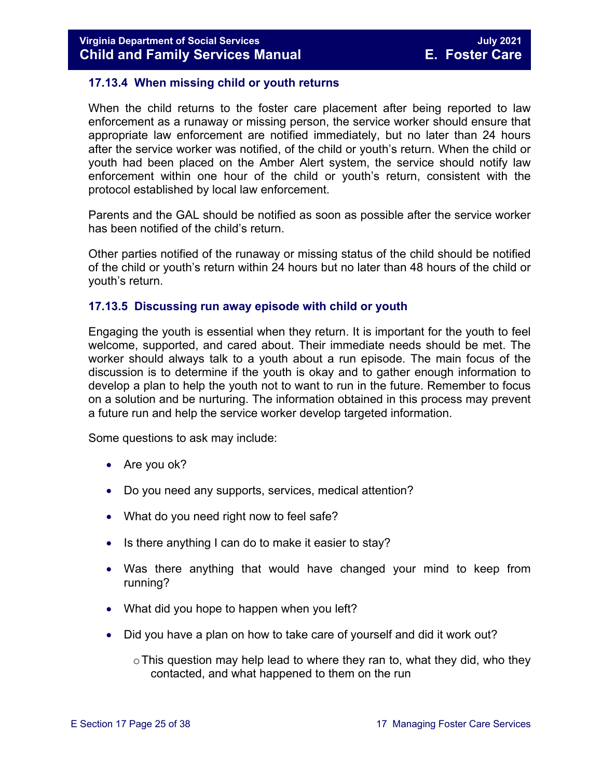# <span id="page-24-0"></span>**17.13.4 When missing child or youth returns**

When the child returns to the foster care placement after being reported to law enforcement as a runaway or missing person, the service worker should ensure that appropriate law enforcement are notified immediately, but no later than 24 hours after the service worker was notified, of the child or youth's return. When the child or youth had been placed on the Amber Alert system, the service should notify law enforcement within one hour of the child or youth's return, consistent with the protocol established by local law enforcement.

Parents and the GAL should be notified as soon as possible after the service worker has been notified of the child's return.

Other parties notified of the runaway or missing status of the child should be notified of the child or youth's return within 24 hours but no later than 48 hours of the child or youth's return.

### <span id="page-24-1"></span>**17.13.5 Discussing run away episode with child or youth**

Engaging the youth is essential when they return. It is important for the youth to feel welcome, supported, and cared about. Their immediate needs should be met. The worker should always talk to a youth about a run episode. The main focus of the discussion is to determine if the youth is okay and to gather enough information to develop a plan to help the youth not to want to run in the future. Remember to focus on a solution and be nurturing. The information obtained in this process may prevent a future run and help the service worker develop targeted information.

Some questions to ask may include:

- Are you ok?
- Do you need any supports, services, medical attention?
- What do you need right now to feel safe?
- Is there anything I can do to make it easier to stay?
- Was there anything that would have changed your mind to keep from running?
- What did you hope to happen when you left?
- Did you have a plan on how to take care of yourself and did it work out?

 $\circ$  This question may help lead to where they ran to, what they did, who they contacted, and what happened to them on the run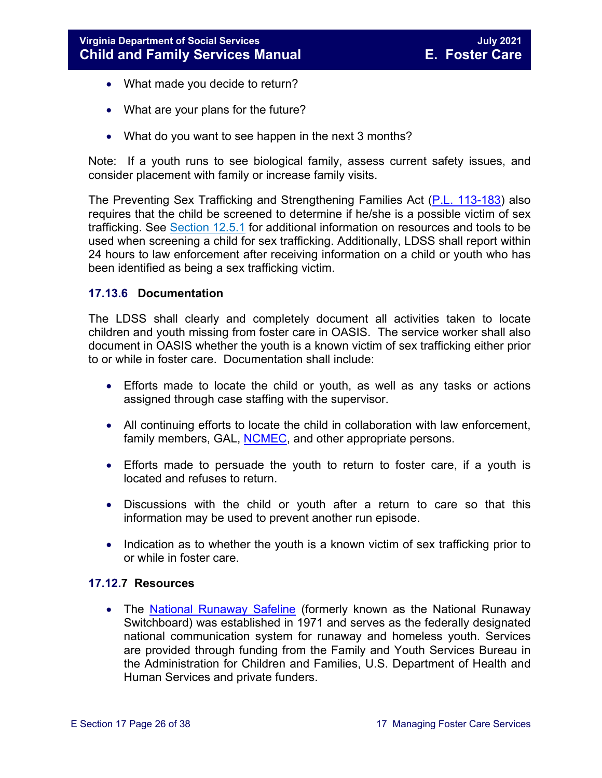- What made you decide to return?
- What are your plans for the future?
- What do you want to see happen in the next 3 months?

Note: If a youth runs to see biological family, assess current safety issues, and consider placement with family or increase family visits.

The Preventing Sex Trafficking and Strengthening Families Act [\(P.L. 113-183\)](https://www.congress.gov/113/plaws/publ183/PLAW-113publ183.pdf) also requires that the child be screened to determine if he/she is a possible victim of sex trafficking. See [Section 12.5.1](https://fusion.dss.virginia.gov/Portals/%5bdfs%5d/Files/DFS%20Manuals/Foster%20Care%20Manuals/Foster%20Care%20Manual%2007-2020/Final%20Foster%20Care%20Manual%2007-2020/section_12_identifying_services_to_be_provided.pdf#page=10) for additional information on resources and tools to be used when screening a child for sex trafficking. Additionally, LDSS shall report within 24 hours to law enforcement after receiving information on a child or youth who has been identified as being a sex trafficking victim.

# <span id="page-25-0"></span>**17.13.6 Documentation**

The LDSS shall clearly and completely document all activities taken to locate children and youth missing from foster care in OASIS. The service worker shall also document in OASIS whether the youth is a known victim of sex trafficking either prior to or while in foster care. Documentation shall include:

- Efforts made to locate the child or youth, as well as any tasks or actions assigned through case staffing with the supervisor.
- All continuing efforts to locate the child in collaboration with law enforcement, family members, GAL, [NCMEC,](http://www.missingkids.com/MissingChild) and other appropriate persons.
- Efforts made to persuade the youth to return to foster care, if a youth is located and refuses to return.
- Discussions with the child or youth after a return to care so that this information may be used to prevent another run episode.
- Indication as to whether the youth is a known victim of sex trafficking prior to or while in foster care.

# <span id="page-25-1"></span>**17.12.7 Resources**

• The [National Runaway Safeline](http://www.1800runaway.org/) (formerly known as the National Runaway Switchboard) was established in 1971 and serves as the federally designated national communication system for runaway and homeless youth. Services are provided through funding from the Family and Youth Services Bureau in the Administration for Children and Families, U.S. Department of Health and Human Services and private funders.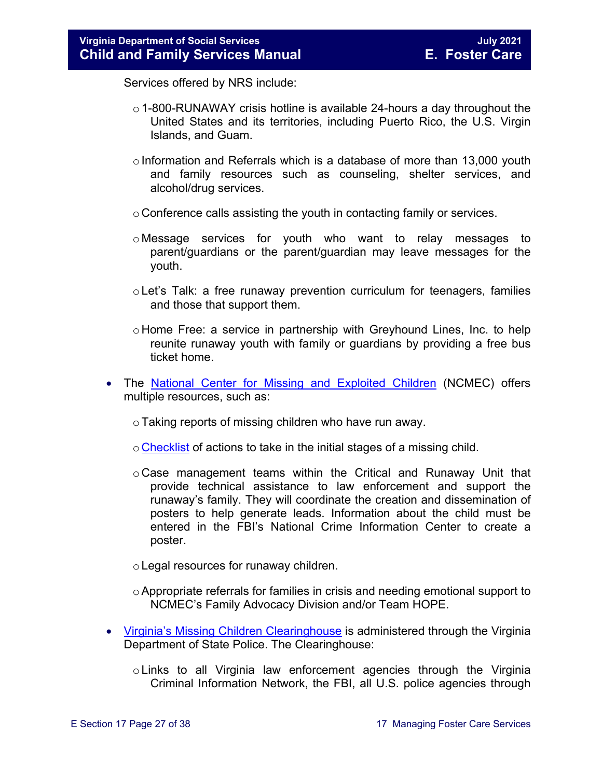Services offered by NRS include:

- o 1-800-RUNAWAY crisis hotline is available 24-hours a day throughout the United States and its territories, including Puerto Rico, the U.S. Virgin Islands, and Guam.
- $\circ$  Information and Referrals which is a database of more than 13,000 youth and family resources such as counseling, shelter services, and alcohol/drug services.
- o Conference calls assisting the youth in contacting family or services.
- o Message services for youth who want to relay messages to parent/guardians or the parent/guardian may leave messages for the youth.
- oLet's Talk: a free runaway prevention curriculum for teenagers, families and those that support them.
- o Home Free: a service in partnership with Greyhound Lines, Inc. to help reunite runaway youth with family or guardians by providing a free bus ticket home.
- The [National Center for Missing and Exploited](http://www.missingkids.com/MissingChild) Children (NCMEC) offers multiple resources, such as:
	- oTaking reports of missing children who have run away.
	- o [Checklist](http://www.missingkids.com/content/dam/missingkids/pdfs/publications/nc198.pdf) of actions to take in the initial stages of a missing child.
	- $\circ$  Case management teams within the Critical and Runaway Unit that provide technical assistance to law enforcement and support the runaway's family. They will coordinate the creation and dissemination of posters to help generate leads. Information about the child must be entered in the FBI's National Crime Information Center to create a poster.
	- oLegal resources for runaway children.
	- $\circ$  Appropriate referrals for families in crisis and needing emotional support to NCMEC's Family Advocacy Division and/or Team HOPE.
- [Virginia's Missing Children Clearinghouse](http://www.vsp.state.va.us/CJIS_VMEC.shtm) is administered through the Virginia Department of State Police. The Clearinghouse:
	- oLinks to all Virginia law enforcement agencies through the Virginia Criminal Information Network, the FBI, all U.S. police agencies through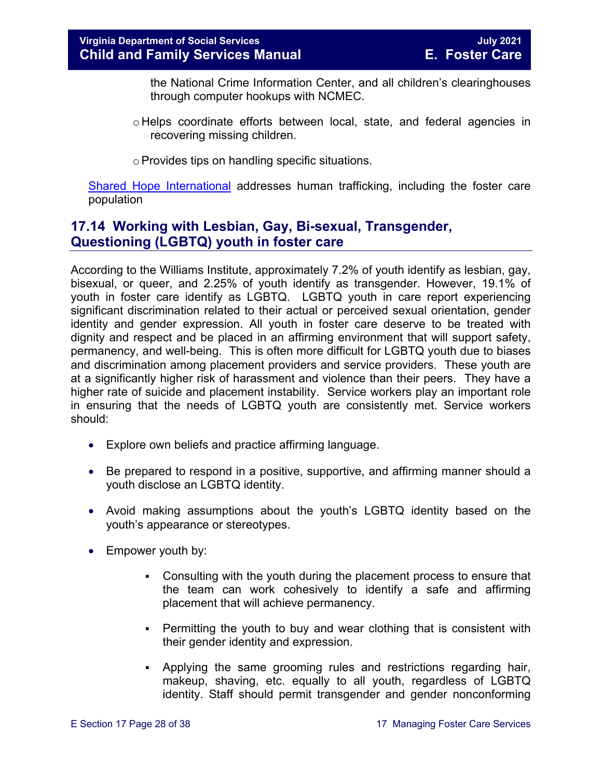the National Crime Information Center, and all children's clearinghouses through computer hookups with NCMEC.

- o Helps coordinate efforts between local, state, and federal agencies in recovering missing children.
- oProvides tips on handling specific situations.

[Shared Hope International](http://sharedhope.org/what-we-do/) addresses human trafficking, including the foster care population

# <span id="page-27-0"></span>**17.14 Working with Lesbian, Gay, Bi-sexual, Transgender, Questioning (LGBTQ) youth in foster care**

According to the Williams Institute, approximately 7.2% of youth identify as lesbian, gay, bisexual, or queer, and 2.25% of youth identify as transgender. However, 19.1% of youth in foster care identify as LGBTQ. LGBTQ youth in care report experiencing significant discrimination related to their actual or perceived sexual orientation, gender identity and gender expression. All youth in foster care deserve to be treated with dignity and respect and be placed in an affirming environment that will support safety, permanency, and well-being. This is often more difficult for LGBTQ youth due to biases and discrimination among placement providers and service providers. These youth are at a significantly higher risk of harassment and violence than their peers. They have a higher rate of suicide and placement instability. Service workers play an important role in ensuring that the needs of LGBTQ youth are consistently met. Service workers should:

- Explore own beliefs and practice affirming language.
- Be prepared to respond in a positive, supportive, and affirming manner should a youth disclose an LGBTQ identity.
- Avoid making assumptions about the youth's LGBTQ identity based on the youth's appearance or stereotypes.
- Empower youth by:
	- Consulting with the youth during the placement process to ensure that the team can work cohesively to identify a safe and affirming placement that will achieve permanency.
	- Permitting the youth to buy and wear clothing that is consistent with their gender identity and expression.
	- Applying the same grooming rules and restrictions regarding hair, makeup, shaving, etc. equally to all youth, regardless of LGBTQ identity. Staff should permit transgender and gender nonconforming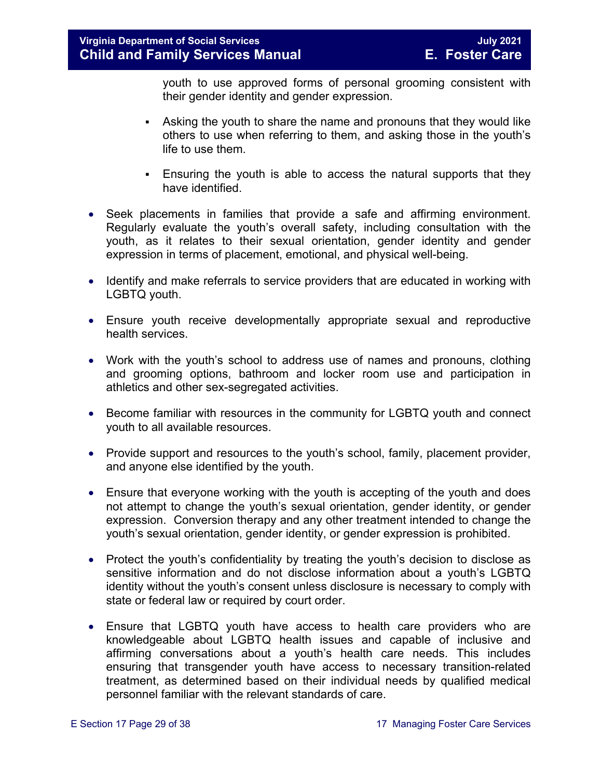youth to use approved forms of personal grooming consistent with their gender identity and gender expression.

- Asking the youth to share the name and pronouns that they would like others to use when referring to them, and asking those in the youth's life to use them.
- Ensuring the youth is able to access the natural supports that they have identified.
- Seek placements in families that provide a safe and affirming environment. Regularly evaluate the youth's overall safety, including consultation with the youth, as it relates to their sexual orientation, gender identity and gender expression in terms of placement, emotional, and physical well-being.
- Identify and make referrals to service providers that are educated in working with LGBTQ youth.
- Ensure youth receive developmentally appropriate sexual and reproductive health services.
- Work with the youth's school to address use of names and pronouns, clothing and grooming options, bathroom and locker room use and participation in athletics and other sex-segregated activities.
- Become familiar with resources in the community for LGBTQ youth and connect youth to all available resources.
- Provide support and resources to the youth's school, family, placement provider, and anyone else identified by the youth.
- Ensure that everyone working with the youth is accepting of the youth and does not attempt to change the youth's sexual orientation, gender identity, or gender expression. Conversion therapy and any other treatment intended to change the youth's sexual orientation, gender identity, or gender expression is prohibited.
- Protect the youth's confidentiality by treating the youth's decision to disclose as sensitive information and do not disclose information about a youth's LGBTQ identity without the youth's consent unless disclosure is necessary to comply with state or federal law or required by court order.
- Ensure that LGBTQ youth have access to health care providers who are knowledgeable about LGBTQ health issues and capable of inclusive and affirming conversations about a youth's health care needs. This includes ensuring that transgender youth have access to necessary transition-related treatment, as determined based on their individual needs by qualified medical personnel familiar with the relevant standards of care.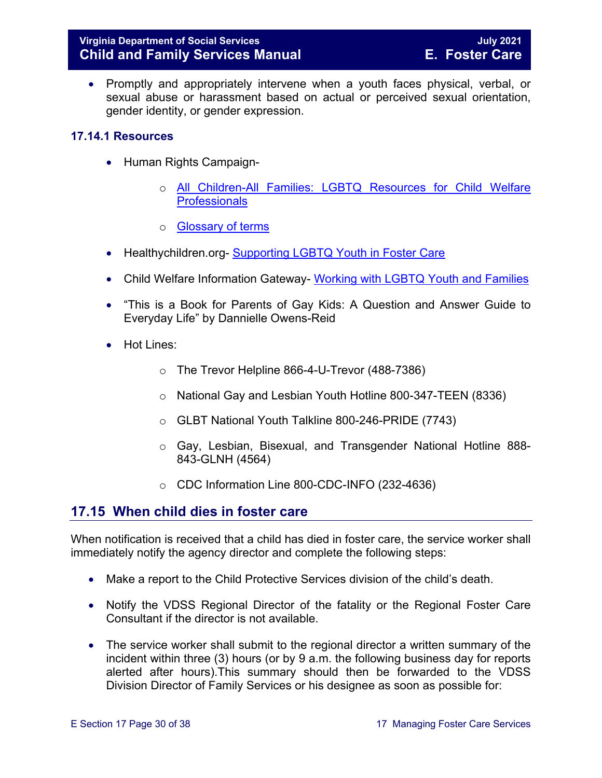• Promptly and appropriately intervene when a youth faces physical, verbal, or sexual abuse or harassment based on actual or perceived sexual orientation, gender identity, or gender expression.

# <span id="page-29-0"></span>**17.14.1 Resources**

- Human Rights Campaign
	- o [All Children-All Families: LGBTQ Resources for Child Welfare](http://www.hrc.org/resources/all-children-all-families-additional-resources#Best%20Practices)  **[Professionals](http://www.hrc.org/resources/all-children-all-families-additional-resources#Best%20Practices)**
	- o [Glossary of terms](https://www.hrc.org/resources/glossary-of-terms)
- Healthychildren.org- [Supporting LGBTQ Youth in Foster Care](https://healthychildren.org/English/family-life/family-dynamics/adoption-and-foster-care/Pages/Supporting-LGBTQ-Youth-in-Foster-Care.aspx)
- Child Welfare Information Gateway- [Working with LGBTQ Youth and Families](https://www.childwelfare.gov/topics/systemwide/diverse-populations/lgbtq/)
- "This is a Book for Parents of Gay Kids: A Question and Answer Guide to Everyday Life" by Dannielle Owens-Reid
- Hot Lines:
	- o The Trevor Helpline 866-4-U-Trevor (488-7386)
	- o National Gay and Lesbian Youth Hotline 800-347-TEEN (8336)
	- o GLBT National Youth Talkline 800-246-PRIDE (7743)
	- o Gay, Lesbian, Bisexual, and Transgender National Hotline 888- 843-GLNH (4564)
	- o CDC Information Line 800-CDC-INFO (232-4636)

# <span id="page-29-1"></span>**17.15 When child dies in foster care**

When notification is received that a child has died in foster care, the service worker shall immediately notify the agency director and complete the following steps:

- Make a report to the Child Protective Services division of the child's death.
- Notify the VDSS Regional Director of the fatality or the Regional Foster Care Consultant if the director is not available.
- The service worker shall submit to the regional director a written summary of the incident within three (3) hours (or by 9 a.m. the following business day for reports alerted after hours).This summary should then be forwarded to the VDSS Division Director of Family Services or his designee as soon as possible for: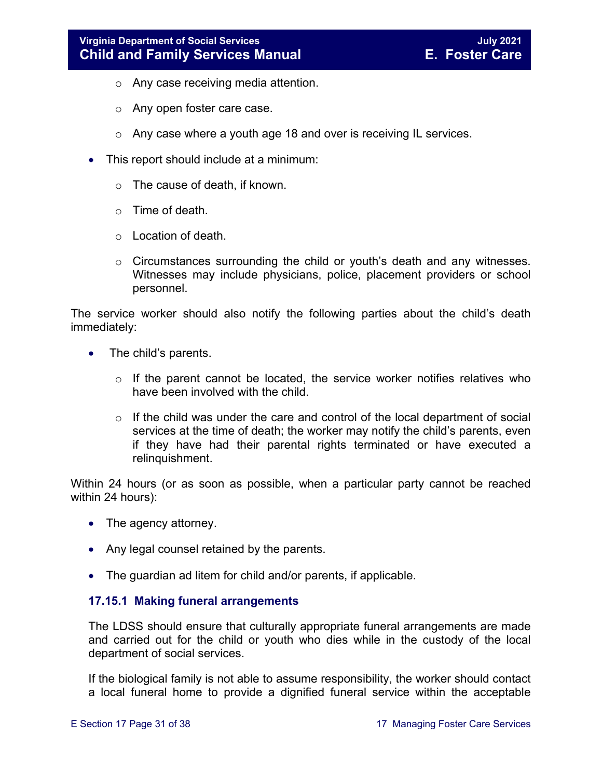- o Any case receiving media attention.
- o Any open foster care case.
- o Any case where a youth age 18 and over is receiving IL services.
- This report should include at a minimum:
	- o The cause of death, if known.
	- $\circ$  Time of death.
	- o Location of death.
	- $\circ$  Circumstances surrounding the child or youth's death and any witnesses. Witnesses may include physicians, police, placement providers or school personnel.

The service worker should also notify the following parties about the child's death immediately:

- The child's parents.
	- $\circ$  If the parent cannot be located, the service worker notifies relatives who have been involved with the child.
	- $\circ$  If the child was under the care and control of the local department of social services at the time of death; the worker may notify the child's parents, even if they have had their parental rights terminated or have executed a relinquishment.

Within 24 hours (or as soon as possible, when a particular party cannot be reached within 24 hours):

- The agency attorney.
- Any legal counsel retained by the parents.
- The guardian ad litem for child and/or parents, if applicable.

### <span id="page-30-0"></span>**17.15.1 Making funeral arrangements**

The LDSS should ensure that culturally appropriate funeral arrangements are made and carried out for the child or youth who dies while in the custody of the local department of social services.

If the biological family is not able to assume responsibility, the worker should contact a local funeral home to provide a dignified funeral service within the acceptable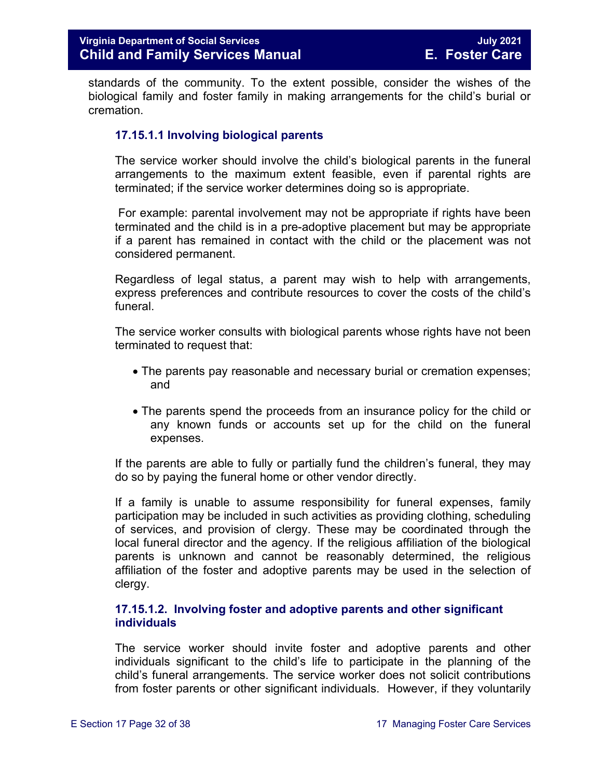standards of the community. To the extent possible, consider the wishes of the biological family and foster family in making arrangements for the child's burial or cremation.

# **17.15.1.1 Involving biological parents**

The service worker should involve the child's biological parents in the funeral arrangements to the maximum extent feasible, even if parental rights are terminated; if the service worker determines doing so is appropriate.

For example: parental involvement may not be appropriate if rights have been terminated and the child is in a pre-adoptive placement but may be appropriate if a parent has remained in contact with the child or the placement was not considered permanent.

Regardless of legal status, a parent may wish to help with arrangements, express preferences and contribute resources to cover the costs of the child's funeral.

The service worker consults with biological parents whose rights have not been terminated to request that:

- The parents pay reasonable and necessary burial or cremation expenses; and
- The parents spend the proceeds from an insurance policy for the child or any known funds or accounts set up for the child on the funeral expenses.

If the parents are able to fully or partially fund the children's funeral, they may do so by paying the funeral home or other vendor directly.

If a family is unable to assume responsibility for funeral expenses, family participation may be included in such activities as providing clothing, scheduling of services, and provision of clergy. These may be coordinated through the local funeral director and the agency. If the religious affiliation of the biological parents is unknown and cannot be reasonably determined, the religious affiliation of the foster and adoptive parents may be used in the selection of clergy.

# **17.15.1.2. Involving foster and adoptive parents and other significant individuals**

The service worker should invite foster and adoptive parents and other individuals significant to the child's life to participate in the planning of the child's funeral arrangements. The service worker does not solicit contributions from foster parents or other significant individuals. However, if they voluntarily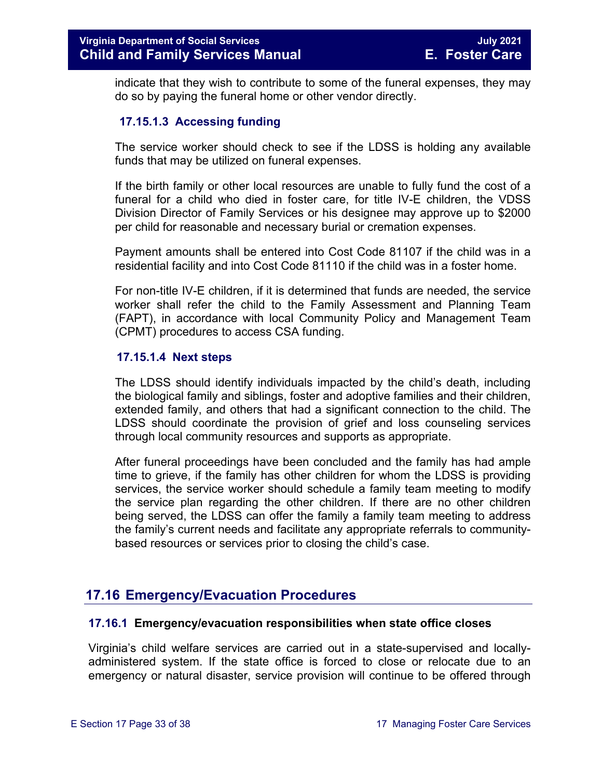indicate that they wish to contribute to some of the funeral expenses, they may do so by paying the funeral home or other vendor directly.

# **17.15.1.3 Accessing funding**

The service worker should check to see if the LDSS is holding any available funds that may be utilized on funeral expenses.

If the birth family or other local resources are unable to fully fund the cost of a funeral for a child who died in foster care, for title IV-E children, the VDSS Division Director of Family Services or his designee may approve up to \$2000 per child for reasonable and necessary burial or cremation expenses.

Payment amounts shall be entered into Cost Code 81107 if the child was in a residential facility and into Cost Code 81110 if the child was in a foster home.

For non-title IV-E children, if it is determined that funds are needed, the service worker shall refer the child to the Family Assessment and Planning Team (FAPT), in accordance with local Community Policy and Management Team (CPMT) procedures to access CSA funding.

# **17.15.1.4 Next steps**

The LDSS should identify individuals impacted by the child's death, including the biological family and siblings, foster and adoptive families and their children, extended family, and others that had a significant connection to the child. The LDSS should coordinate the provision of grief and loss counseling services through local community resources and supports as appropriate.

After funeral proceedings have been concluded and the family has had ample time to grieve, if the family has other children for whom the LDSS is providing services, the service worker should schedule a family team meeting to modify the service plan regarding the other children. If there are no other children being served, the LDSS can offer the family a family team meeting to address the family's current needs and facilitate any appropriate referrals to communitybased resources or services prior to closing the child's case.

# <span id="page-32-0"></span>**17.16 Emergency/Evacuation Procedures**

### <span id="page-32-1"></span>**17.16.1 Emergency/evacuation responsibilities when state office closes**

Virginia's child welfare services are carried out in a state-supervised and locallyadministered system. If the state office is forced to close or relocate due to an emergency or natural disaster, service provision will continue to be offered through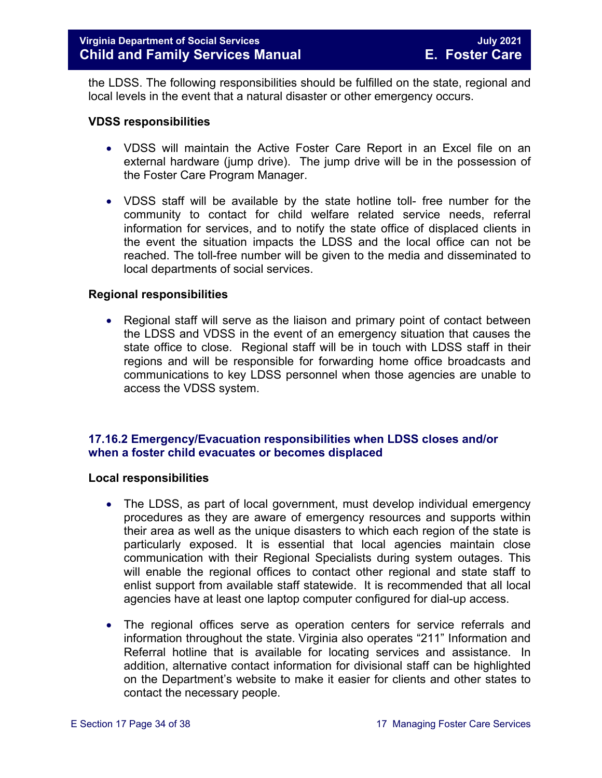the LDSS. The following responsibilities should be fulfilled on the state, regional and local levels in the event that a natural disaster or other emergency occurs.

### **VDSS responsibilities**

- VDSS will maintain the Active Foster Care Report in an Excel file on an external hardware (jump drive). The jump drive will be in the possession of the Foster Care Program Manager.
- VDSS staff will be available by the state hotline toll- free number for the community to contact for child welfare related service needs, referral information for services, and to notify the state office of displaced clients in the event the situation impacts the LDSS and the local office can not be reached. The toll-free number will be given to the media and disseminated to local departments of social services.

### **Regional responsibilities**

• Regional staff will serve as the liaison and primary point of contact between the LDSS and VDSS in the event of an emergency situation that causes the state office to close. Regional staff will be in touch with LDSS staff in their regions and will be responsible for forwarding home office broadcasts and communications to key LDSS personnel when those agencies are unable to access the VDSS system.

# <span id="page-33-0"></span>**17.16.2 Emergency/Evacuation responsibilities when LDSS closes and/or when a foster child evacuates or becomes displaced**

### **Local responsibilities**

- The LDSS, as part of local government, must develop individual emergency procedures as they are aware of emergency resources and supports within their area as well as the unique disasters to which each region of the state is particularly exposed. It is essential that local agencies maintain close communication with their Regional Specialists during system outages. This will enable the regional offices to contact other regional and state staff to enlist support from available staff statewide. It is recommended that all local agencies have at least one laptop computer configured for dial-up access.
- The regional offices serve as operation centers for service referrals and information throughout the state. Virginia also operates "211" Information and Referral hotline that is available for locating services and assistance. In addition, alternative contact information for divisional staff can be highlighted on the Department's website to make it easier for clients and other states to contact the necessary people.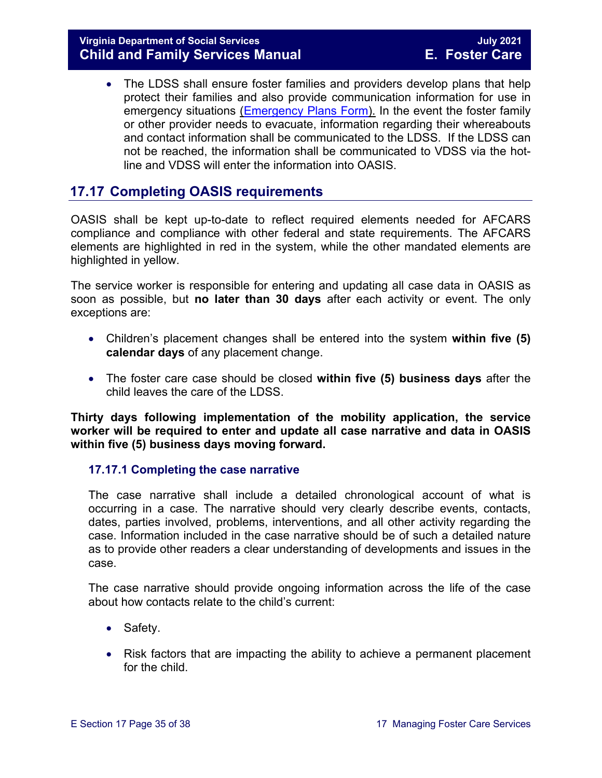• The LDSS shall ensure foster families and providers develop plans that help protect their families and also provide communication information for use in emergency situations [\(Emergency Plans Form\)](https://fusion.dss.virginia.gov/Portals/%5Bdfs%5D/Files/Family%20Recruitment/Family%20Recruitment%20Forms/Emergency%20Plans.doc). In the event the foster family or other provider needs to evacuate, information regarding their whereabouts and contact information shall be communicated to the LDSS. If the LDSS can not be reached, the information shall be communicated to VDSS via the hotline and VDSS will enter the information into OASIS.

# <span id="page-34-0"></span>**17.17 Completing OASIS requirements**

OASIS shall be kept up-to-date to reflect required elements needed for AFCARS compliance and compliance with other federal and state requirements. The AFCARS elements are highlighted in red in the system, while the other mandated elements are highlighted in yellow.

The service worker is responsible for entering and updating all case data in OASIS as soon as possible, but **no later than 30 days** after each activity or event. The only exceptions are:

- Children's placement changes shall be entered into the system **within five (5) calendar days** of any placement change.
- The foster care case should be closed **within five (5) business days** after the child leaves the care of the LDSS.

**Thirty days following implementation of the mobility application, the service worker will be required to enter and update all case narrative and data in OASIS within five (5) business days moving forward.** 

# <span id="page-34-1"></span>**17.17.1 Completing the case narrative**

The case narrative shall include a detailed chronological account of what is occurring in a case. The narrative should very clearly describe events, contacts, dates, parties involved, problems, interventions, and all other activity regarding the case. Information included in the case narrative should be of such a detailed nature as to provide other readers a clear understanding of developments and issues in the case.

The case narrative should provide ongoing information across the life of the case about how contacts relate to the child's current:

- Safety.
- Risk factors that are impacting the ability to achieve a permanent placement for the child.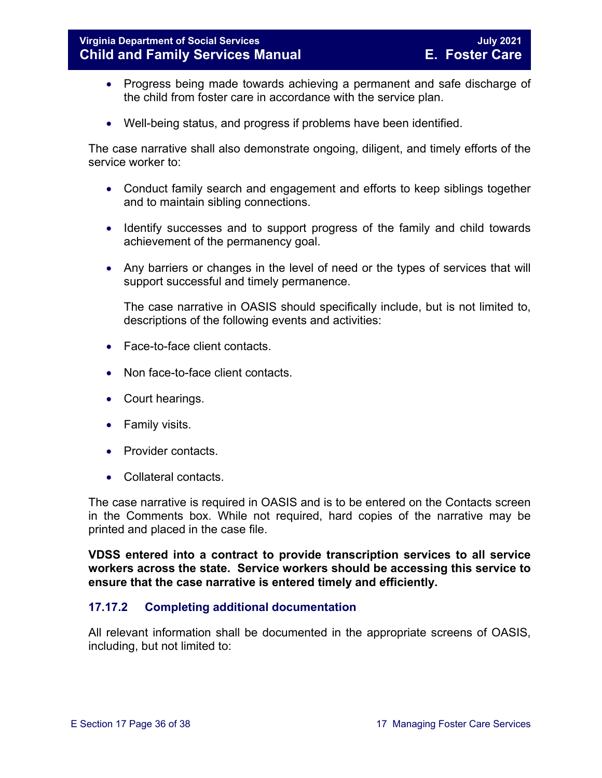- Progress being made towards achieving a permanent and safe discharge of the child from foster care in accordance with the service plan.
- Well-being status, and progress if problems have been identified.

The case narrative shall also demonstrate ongoing, diligent, and timely efforts of the service worker to:

- Conduct family search and engagement and efforts to keep siblings together and to maintain sibling connections.
- Identify successes and to support progress of the family and child towards achievement of the permanency goal.
- Any barriers or changes in the level of need or the types of services that will support successful and timely permanence.

The case narrative in OASIS should specifically include, but is not limited to, descriptions of the following events and activities:

- Face-to-face client contacts.
- Non face-to-face client contacts.
- Court hearings.
- Family visits.
- Provider contacts.
- Collateral contacts.

The case narrative is required in OASIS and is to be entered on the Contacts screen in the Comments box. While not required, hard copies of the narrative may be printed and placed in the case file.

**VDSS entered into a contract to provide transcription services to all service workers across the state. Service workers should be accessing this service to ensure that the case narrative is entered timely and efficiently.** 

# <span id="page-35-0"></span>**17.17.2 Completing additional documentation**

All relevant information shall be documented in the appropriate screens of OASIS, including, but not limited to: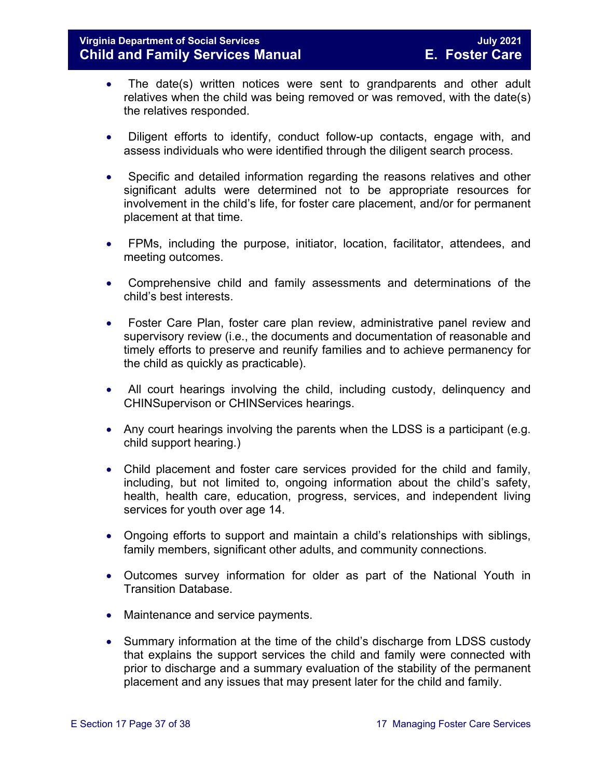- The date(s) written notices were sent to grandparents and other adult relatives when the child was being removed or was removed, with the date(s) the relatives responded.
- Diligent efforts to identify, conduct follow-up contacts, engage with, and assess individuals who were identified through the diligent search process.
- Specific and detailed information regarding the reasons relatives and other significant adults were determined not to be appropriate resources for involvement in the child's life, for foster care placement, and/or for permanent placement at that time.
- FPMs, including the purpose, initiator, location, facilitator, attendees, and meeting outcomes.
- Comprehensive child and family assessments and determinations of the child's best interests.
- Foster Care Plan, foster care plan review, administrative panel review and supervisory review (i.e., the documents and documentation of reasonable and timely efforts to preserve and reunify families and to achieve permanency for the child as quickly as practicable).
- All court hearings involving the child, including custody, delinquency and CHINSupervison or CHINServices hearings.
- Any court hearings involving the parents when the LDSS is a participant (e.g. child support hearing.)
- Child placement and foster care services provided for the child and family, including, but not limited to, ongoing information about the child's safety, health, health care, education, progress, services, and independent living services for youth over age 14.
- Ongoing efforts to support and maintain a child's relationships with siblings, family members, significant other adults, and community connections.
- Outcomes survey information for older as part of the National Youth in Transition Database.
- Maintenance and service payments.
- Summary information at the time of the child's discharge from LDSS custody that explains the support services the child and family were connected with prior to discharge and a summary evaluation of the stability of the permanent placement and any issues that may present later for the child and family.